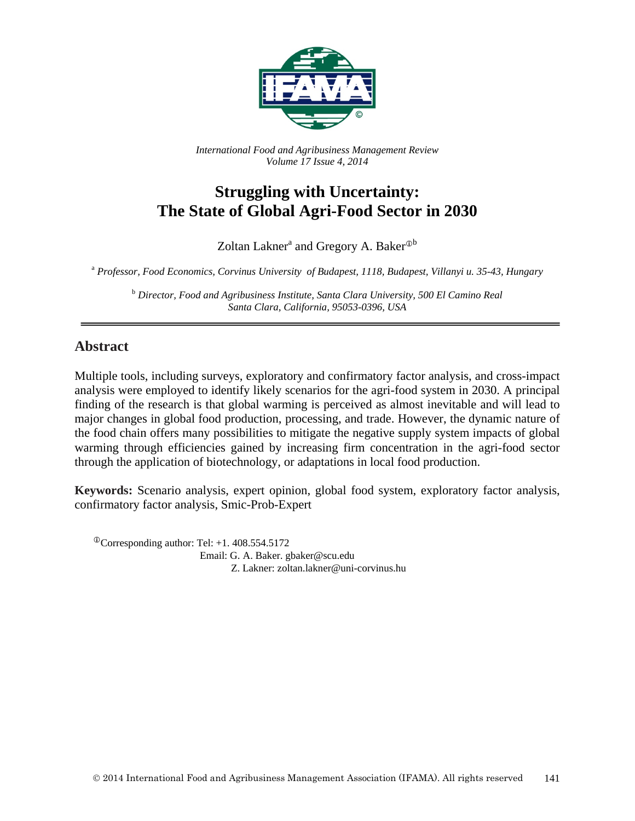

*International Food and Agribusiness Management Review Volume 17 Issue 4, 2014*

# **Struggling with Uncertainty: The State of Global Agri-Food Sector in 2030**

Zoltan Lakner<sup>a</sup> and Gregory A. Baker $^{\text{Ob}}$ 

<sup>a</sup> *Professor, Food Economics, Corvinus University of Budapest, 1118, Budapest, Villanyi u. 35-43, Hungary*

<sup>b</sup> *Director, Food and Agribusiness Institute, Santa Clara University, 500 El Camino Real Santa Clara, California, 95053-0396, USA*

### **Abstract**

Multiple tools, including surveys, exploratory and confirmatory factor analysis, and cross-impact analysis were employed to identify likely scenarios for the agri-food system in 2030. A principal finding of the research is that global warming is perceived as almost inevitable and will lead to major changes in global food production, processing, and trade. However, the dynamic nature of the food chain offers many possibilities to mitigate the negative supply system impacts of global warming through efficiencies gained by increasing firm concentration in the agri-food sector through the application of biotechnology, or adaptations in local food production.

**Keywords:** Scenario analysis, expert opinion, global food system, exploratory factor analysis, confirmatory factor analysis, Smic-Prob-Expert

 $^{\circ}$ Corresponding author: Tel: +1. 408.554.5172 Email: G. A. Baker. gbaker@scu.edu Z. Lakner: zoltan.lakner@uni-corvinus.hu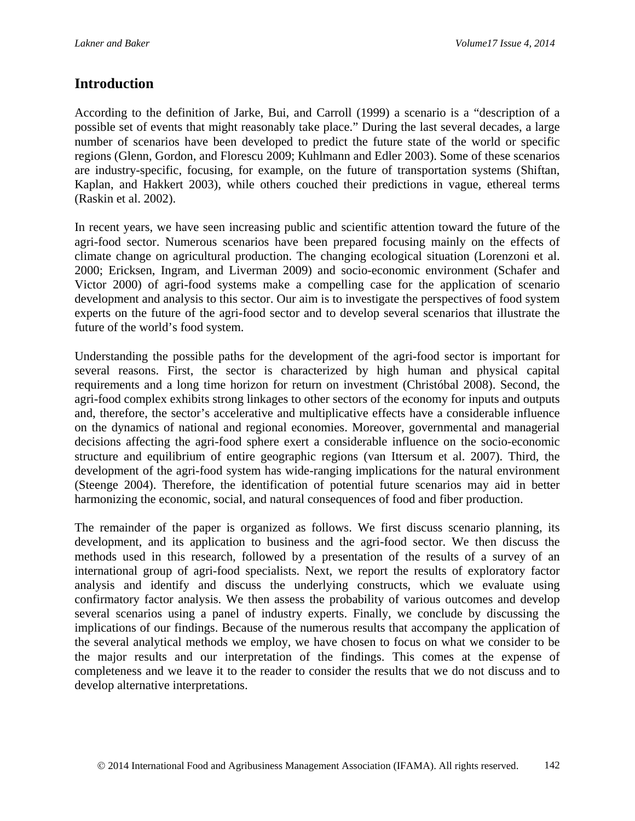### **Introduction**

According to the definition of Jarke, Bui, and Carroll (1999) a scenario is a "description of a possible set of events that might reasonably take place." During the last several decades, a large number of scenarios have been developed to predict the future state of the world or specific regions (Glenn, Gordon, and Florescu 2009; Kuhlmann and Edler 2003). Some of these scenarios are industry-specific, focusing, for example, on the future of transportation systems (Shiftan, Kaplan, and Hakkert 2003), while others couched their predictions in vague, ethereal terms (Raskin et al. 2002).

In recent years, we have seen increasing public and scientific attention toward the future of the agri-food sector. Numerous scenarios have been prepared focusing mainly on the effects of climate change on agricultural production. The changing ecological situation (Lorenzoni et al. 2000; Ericksen, Ingram, and Liverman 2009) and socio-economic environment (Schafer and Victor 2000) of agri-food systems make a compelling case for the application of scenario development and analysis to this sector. Our aim is to investigate the perspectives of food system experts on the future of the agri-food sector and to develop several scenarios that illustrate the future of the world's food system.

Understanding the possible paths for the development of the agri-food sector is important for several reasons. First, the sector is characterized by high human and physical capital requirements and a long time horizon for return on investment (Christóbal 2008). Second, the agri-food complex exhibits strong linkages to other sectors of the economy for inputs and outputs and, therefore, the sector's accelerative and multiplicative effects have a considerable influence on the dynamics of national and regional economies. Moreover, governmental and managerial decisions affecting the agri-food sphere exert a considerable influence on the socio-economic structure and equilibrium of entire geographic regions (van Ittersum et al. 2007). Third, the development of the agri-food system has wide-ranging implications for the natural environment (Steenge 2004). Therefore, the identification of potential future scenarios may aid in better harmonizing the economic, social, and natural consequences of food and fiber production.

The remainder of the paper is organized as follows. We first discuss scenario planning, its development, and its application to business and the agri-food sector. We then discuss the methods used in this research, followed by a presentation of the results of a survey of an international group of agri-food specialists. Next, we report the results of exploratory factor analysis and identify and discuss the underlying constructs, which we evaluate using confirmatory factor analysis. We then assess the probability of various outcomes and develop several scenarios using a panel of industry experts. Finally, we conclude by discussing the implications of our findings. Because of the numerous results that accompany the application of the several analytical methods we employ, we have chosen to focus on what we consider to be the major results and our interpretation of the findings. This comes at the expense of completeness and we leave it to the reader to consider the results that we do not discuss and to develop alternative interpretations.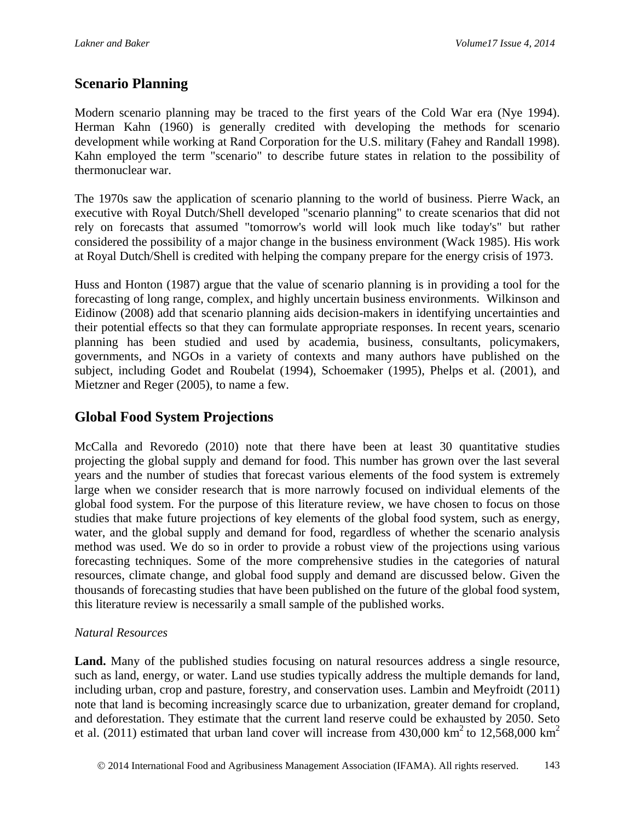### **Scenario Planning**

Modern scenario planning may be traced to the first years of the Cold War era (Nye 1994). Herman Kahn (1960) is generally credited with developing the methods for scenario development while working at Rand Corporation for the U.S. military (Fahey and Randall 1998). Kahn employed the term "scenario" to describe future states in relation to the possibility of thermonuclear war.

The 1970s saw the application of scenario planning to the world of business. Pierre Wack, an executive with Royal Dutch/Shell developed "scenario planning" to create scenarios that did not rely on forecasts that assumed "tomorrow's world will look much like today's" but rather considered the possibility of a major change in the business environment (Wack 1985). His work at Royal Dutch/Shell is credited with helping the company prepare for the energy crisis of 1973.

Huss and Honton (1987) argue that the value of scenario planning is in providing a tool for the forecasting of long range, complex, and highly uncertain business environments. Wilkinson and Eidinow (2008) add that scenario planning aids decision-makers in identifying uncertainties and their potential effects so that they can formulate appropriate responses. In recent years, scenario planning has been studied and used by academia, business, consultants, policymakers, governments, and NGOs in a variety of contexts and many authors have published on the subject, including Godet and Roubelat (1994), Schoemaker (1995), Phelps et al. (2001), and Mietzner and Reger (2005), to name a few.

### **Global Food System Projections**

McCalla and Revoredo (2010) note that there have been at least 30 quantitative studies projecting the global supply and demand for food. This number has grown over the last several years and the number of studies that forecast various elements of the food system is extremely large when we consider research that is more narrowly focused on individual elements of the global food system. For the purpose of this literature review, we have chosen to focus on those studies that make future projections of key elements of the global food system, such as energy, water, and the global supply and demand for food, regardless of whether the scenario analysis method was used. We do so in order to provide a robust view of the projections using various forecasting techniques. Some of the more comprehensive studies in the categories of natural resources, climate change, and global food supply and demand are discussed below. Given the thousands of forecasting studies that have been published on the future of the global food system, this literature review is necessarily a small sample of the published works.

#### *Natural Resources*

Land. Many of the published studies focusing on natural resources address a single resource, such as land, energy, or water. Land use studies typically address the multiple demands for land, including urban, crop and pasture, forestry, and conservation uses. Lambin and Meyfroidt (2011) note that land is becoming increasingly scarce due to urbanization, greater demand for cropland, and deforestation. They estimate that the current land reserve could be exhausted by 2050. Seto et al. (2011) estimated that urban land cover will increase from  $430,000 \text{ km}^2$  to  $12,568,000 \text{ km}^2$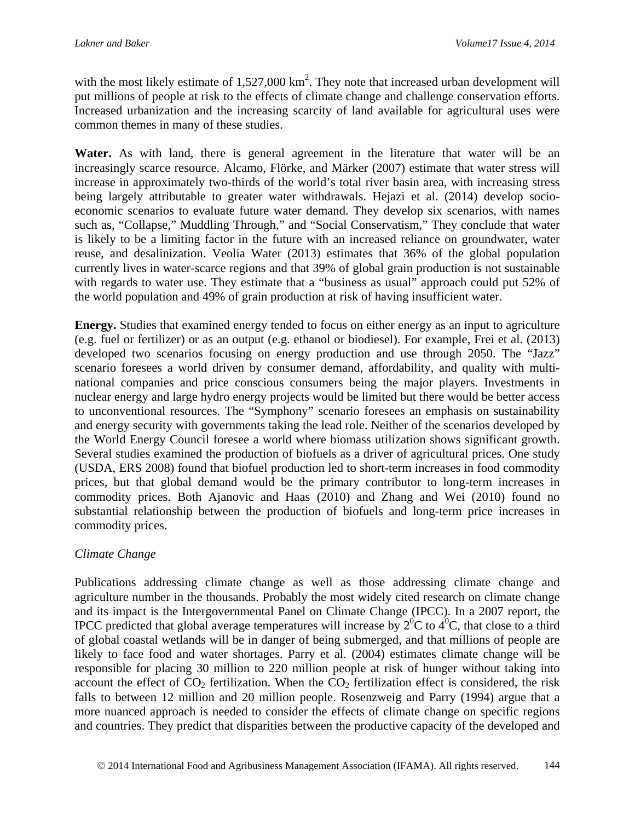with the most likely estimate of  $1,527,000 \text{ km}^2$ . They note that increased urban development will put millions of people at risk to the effects of climate change and challenge conservation efforts. Increased urbanization and the increasing scarcity of land available for agricultural uses were common themes in many of these studies.

**Water.** As with land, there is general agreement in the literature that water will be an increasingly scarce resource. Alcamo, Flörke, and Märker (2007) estimate that water stress will increase in approximately two-thirds of the world's total river basin area, with increasing stress being largely attributable to greater water withdrawals. Hejazi et al. (2014) develop socioeconomic scenarios to evaluate future water demand. They develop six scenarios, with names such as, "Collapse," Muddling Through," and "Social Conservatism," They conclude that water is likely to be a limiting factor in the future with an increased reliance on groundwater, water reuse, and desalinization. Veolia Water (2013) estimates that 36% of the global population currently lives in water-scarce regions and that 39% of global grain production is not sustainable with regards to water use. They estimate that a "business as usual" approach could put 52% of the world population and 49% of grain production at risk of having insufficient water.

**Energy.** Studies that examined energy tended to focus on either energy as an input to agriculture (e.g. fuel or fertilizer) or as an output (e.g. ethanol or biodiesel). For example, Frei et al. (2013) developed two scenarios focusing on energy production and use through 2050. The "Jazz" scenario foresees a world driven by consumer demand, affordability, and quality with multinational companies and price conscious consumers being the major players. Investments in nuclear energy and large hydro energy projects would be limited but there would be better access to unconventional resources. The "Symphony" scenario foresees an emphasis on sustainability and energy security with governments taking the lead role. Neither of the scenarios developed by the World Energy Council foresee a world where biomass utilization shows significant growth. Several studies examined the production of biofuels as a driver of agricultural prices. One study (USDA, ERS 2008) found that biofuel production led to short-term increases in food commodity prices, but that global demand would be the primary contributor to long-term increases in commodity prices. Both Ajanovic and Haas (2010) and Zhang and Wei (2010) found no substantial relationship between the production of biofuels and long-term price increases in commodity prices.

#### *Climate Change*

Publications addressing climate change as well as those addressing climate change and agriculture number in the thousands. Probably the most widely cited research on climate change and its impact is the Intergovernmental Panel on Climate Change (IPCC). In a 2007 report, the IPCC predicted that global average temperatures will increase by  $2^{0}C$  to  $4^{0}C$ , that close to a third of global coastal wetlands will be in danger of being submerged, and that millions of people are likely to face food and water shortages. Parry et al. (2004) estimates climate change will be responsible for placing 30 million to 220 million people at risk of hunger without taking into account the effect of  $CO_2$  fertilization. When the  $CO_2$  fertilization effect is considered, the risk falls to between 12 million and 20 million people. Rosenzweig and Parry (1994) argue that a more nuanced approach is needed to consider the effects of climate change on specific regions and countries. They predict that disparities between the productive capacity of the developed and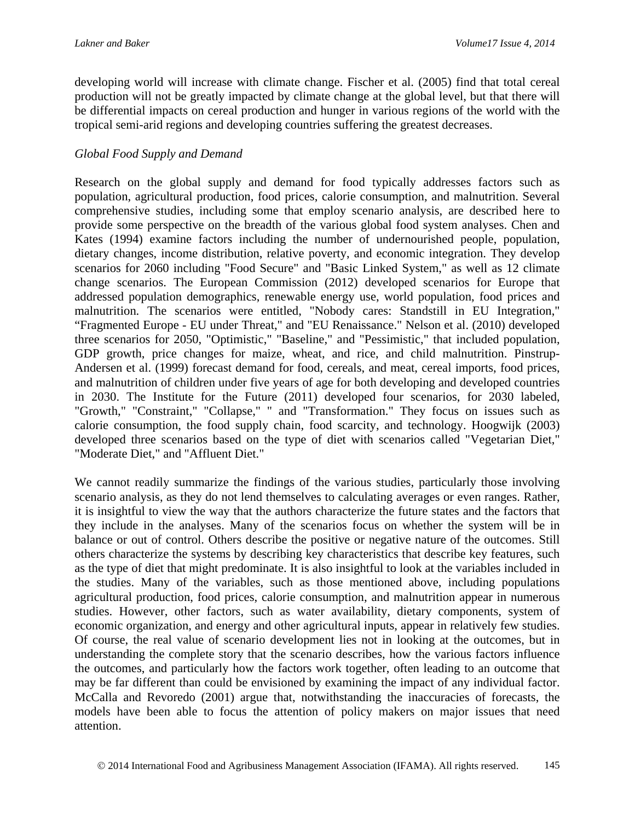developing world will increase with climate change. Fischer et al. (2005) find that total cereal production will not be greatly impacted by climate change at the global level, but that there will be differential impacts on cereal production and hunger in various regions of the world with the tropical semi-arid regions and developing countries suffering the greatest decreases.

### *Global Food Supply and Demand*

Research on the global supply and demand for food typically addresses factors such as population, agricultural production, food prices, calorie consumption, and malnutrition. Several comprehensive studies, including some that employ scenario analysis, are described here to provide some perspective on the breadth of the various global food system analyses. Chen and Kates (1994) examine factors including the number of undernourished people, population, dietary changes, income distribution, relative poverty, and economic integration. They develop scenarios for 2060 including "Food Secure" and "Basic Linked System," as well as 12 climate change scenarios. The European Commission (2012) developed scenarios for Europe that addressed population demographics, renewable energy use, world population, food prices and malnutrition. The scenarios were entitled, "Nobody cares: Standstill in EU Integration," "Fragmented Europe - EU under Threat," and "EU Renaissance." Nelson et al. (2010) developed three scenarios for 2050, "Optimistic," "Baseline," and "Pessimistic," that included population, GDP growth, price changes for maize, wheat, and rice, and child malnutrition. Pinstrup-Andersen et al. (1999) forecast demand for food, cereals, and meat, cereal imports, food prices, and malnutrition of children under five years of age for both developing and developed countries in 2030. The Institute for the Future (2011) developed four scenarios, for 2030 labeled, "Growth," "Constraint," "Collapse," " and "Transformation." They focus on issues such as calorie consumption, the food supply chain, food scarcity, and technology. Hoogwijk (2003) developed three scenarios based on the type of diet with scenarios called "Vegetarian Diet," "Moderate Diet," and "Affluent Diet."

We cannot readily summarize the findings of the various studies, particularly those involving scenario analysis, as they do not lend themselves to calculating averages or even ranges. Rather, it is insightful to view the way that the authors characterize the future states and the factors that they include in the analyses. Many of the scenarios focus on whether the system will be in balance or out of control. Others describe the positive or negative nature of the outcomes. Still others characterize the systems by describing key characteristics that describe key features, such as the type of diet that might predominate. It is also insightful to look at the variables included in the studies. Many of the variables, such as those mentioned above, including populations agricultural production, food prices, calorie consumption, and malnutrition appear in numerous studies. However, other factors, such as water availability, dietary components, system of economic organization, and energy and other agricultural inputs, appear in relatively few studies. Of course, the real value of scenario development lies not in looking at the outcomes, but in understanding the complete story that the scenario describes, how the various factors influence the outcomes, and particularly how the factors work together, often leading to an outcome that may be far different than could be envisioned by examining the impact of any individual factor. McCalla and Revoredo (2001) argue that, notwithstanding the inaccuracies of forecasts, the models have been able to focus the attention of policy makers on major issues that need attention.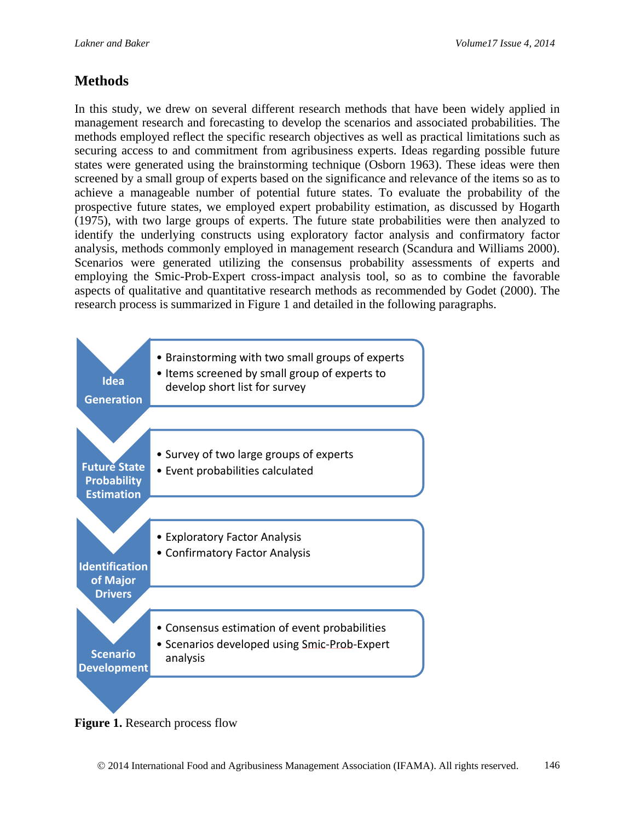### **Methods**

In this study, we drew on several different research methods that have been widely applied in management research and forecasting to develop the scenarios and associated probabilities. The methods employed reflect the specific research objectives as well as practical limitations such as securing access to and commitment from agribusiness experts. Ideas regarding possible future states were generated using the brainstorming technique (Osborn 1963). These ideas were then screened by a small group of experts based on the significance and relevance of the items so as to achieve a manageable number of potential future states. To evaluate the probability of the prospective future states, we employed expert probability estimation, as discussed by Hogarth (1975), with two large groups of experts. The future state probabilities were then analyzed to identify the underlying constructs using exploratory factor analysis and confirmatory factor analysis, methods commonly employed in management research (Scandura and Williams 2000). Scenarios were generated utilizing the consensus probability assessments of experts and employing the Smic-Prob-Expert cross-impact analysis tool, so as to combine the favorable aspects of qualitative and quantitative research methods as recommended by Godet (2000). The research process is summarized in Figure 1 and detailed in the following paragraphs.



**Figure 1.** Research process flow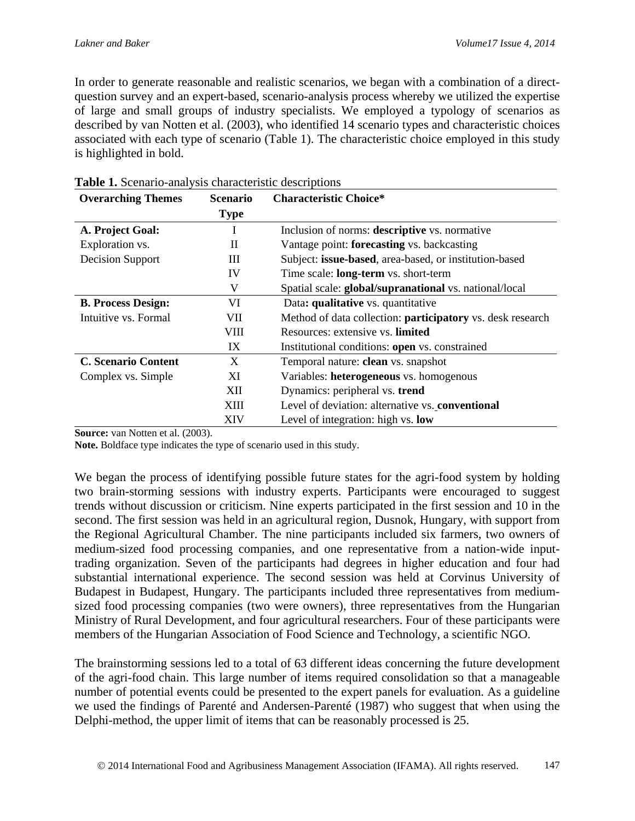In order to generate reasonable and realistic scenarios, we began with a combination of a directquestion survey and an expert-based, scenario-analysis process whereby we utilized the expertise of large and small groups of industry specialists. We employed a typology of scenarios as described by van Notten et al. (2003), who identified 14 scenario types and characteristic choices associated with each type of scenario (Table 1). The characteristic choice employed in this study is highlighted in bold.

| <b>Overarching Themes</b>  | <b>Scenario</b> | <b>Characteristic Choice*</b>                                     |
|----------------------------|-----------------|-------------------------------------------------------------------|
|                            | <b>Type</b>     |                                                                   |
| A. Project Goal:           | I               | Inclusion of norms: descriptive vs. normative                     |
| Exploration vs.            | $\rm II$        | Vantage point: forecasting vs. backcasting                        |
| <b>Decision Support</b>    | Ш               | Subject: issue-based, area-based, or institution-based            |
|                            | IV              | Time scale: long-term vs. short-term                              |
|                            | V               | Spatial scale: global/supranational vs. national/local            |
| <b>B. Process Design:</b>  | VI              | Data: qualitative vs. quantitative                                |
| Intuitive vs. Formal       | VII             | Method of data collection: <b>participatory</b> vs. desk research |
|                            | VIII            | Resources: extensive vs. limited                                  |
|                            | IX              | Institutional conditions: open vs. constrained                    |
| <b>C. Scenario Content</b> | X               | Temporal nature: clean vs. snapshot                               |
| Complex vs. Simple         | ХI              | Variables: heterogeneous vs. homogenous                           |
|                            | XII             | Dynamics: peripheral vs. trend                                    |
|                            | XIII            | Level of deviation: alternative vs. conventional                  |
|                            | XIV             | Level of integration: high vs. low                                |

**Table 1.** Scenario-analysis characteristic descriptions

**Source:** van Notten et al. (2003).

**Note.** Boldface type indicates the type of scenario used in this study.

We began the process of identifying possible future states for the agri-food system by holding two brain-storming sessions with industry experts. Participants were encouraged to suggest trends without discussion or criticism. Nine experts participated in the first session and 10 in the second. The first session was held in an agricultural region, Dusnok, Hungary, with support from the Regional Agricultural Chamber. The nine participants included six farmers, two owners of medium-sized food processing companies, and one representative from a nation-wide inputtrading organization. Seven of the participants had degrees in higher education and four had substantial international experience. The second session was held at Corvinus University of Budapest in Budapest, Hungary. The participants included three representatives from mediumsized food processing companies (two were owners), three representatives from the Hungarian Ministry of Rural Development, and four agricultural researchers. Four of these participants were members of the Hungarian Association of Food Science and Technology, a scientific NGO.

The brainstorming sessions led to a total of 63 different ideas concerning the future development of the agri-food chain. This large number of items required consolidation so that a manageable number of potential events could be presented to the expert panels for evaluation. As a guideline we used the findings of Parenté and Andersen-Parenté (1987) who suggest that when using the Delphi-method, the upper limit of items that can be reasonably processed is 25.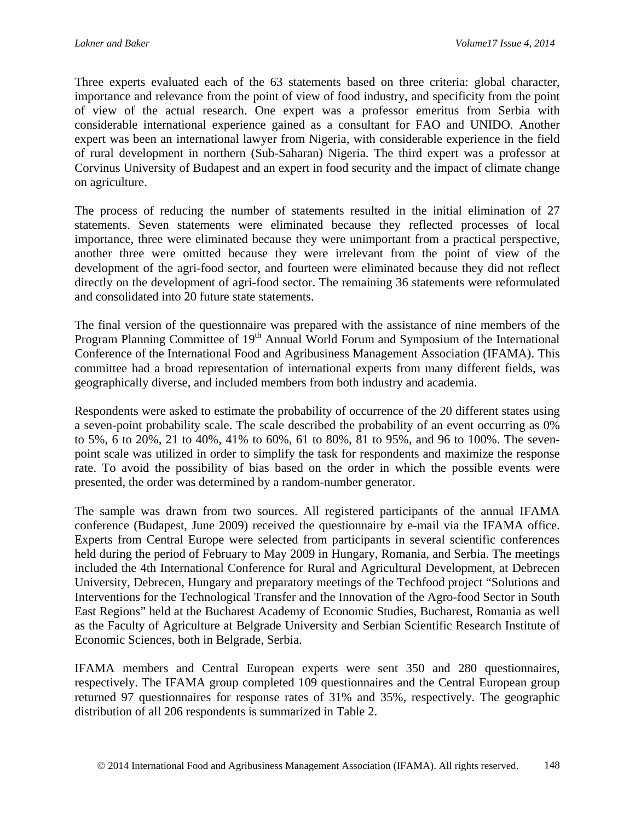Three experts evaluated each of the 63 statements based on three criteria: global character, importance and relevance from the point of view of food industry, and specificity from the point of view of the actual research. One expert was a professor emeritus from Serbia with considerable international experience gained as a consultant for FAO and UNIDO. Another expert was been an international lawyer from Nigeria, with considerable experience in the field of rural development in northern (Sub-Saharan) Nigeria. The third expert was a professor at Corvinus University of Budapest and an expert in food security and the impact of climate change on agriculture.

The process of reducing the number of statements resulted in the initial elimination of 27 statements. Seven statements were eliminated because they reflected processes of local importance, three were eliminated because they were unimportant from a practical perspective, another three were omitted because they were irrelevant from the point of view of the development of the agri-food sector, and fourteen were eliminated because they did not reflect directly on the development of agri-food sector. The remaining 36 statements were reformulated and consolidated into 20 future state statements.

The final version of the questionnaire was prepared with the assistance of nine members of the Program Planning Committee of  $19<sup>th</sup>$  Annual World Forum and Symposium of the International Conference of the International Food and Agribusiness Management Association (IFAMA). This committee had a broad representation of international experts from many different fields, was geographically diverse, and included members from both industry and academia.

Respondents were asked to estimate the probability of occurrence of the 20 different states using a seven-point probability scale. The scale described the probability of an event occurring as 0% to 5%, 6 to 20%, 21 to 40%, 41% to 60%, 61 to 80%, 81 to 95%, and 96 to 100%. The sevenpoint scale was utilized in order to simplify the task for respondents and maximize the response rate. To avoid the possibility of bias based on the order in which the possible events were presented, the order was determined by a random-number generator.

The sample was drawn from two sources. All registered participants of the annual IFAMA conference (Budapest, June 2009) received the questionnaire by e-mail via the IFAMA office. Experts from Central Europe were selected from participants in several scientific conferences held during the period of February to May 2009 in Hungary, Romania, and Serbia. The meetings included the 4th International Conference for Rural and Agricultural Development, at Debrecen University, Debrecen, Hungary and preparatory meetings of the Techfood project "Solutions and Interventions for the Technological Transfer and the Innovation of the Agro-food Sector in South East Regions" held at the Bucharest Academy of Economic Studies, Bucharest, Romania as well as the Faculty of Agriculture at Belgrade University and Serbian Scientific Research Institute of Economic Sciences, both in Belgrade, Serbia.

IFAMA members and Central European experts were sent 350 and 280 questionnaires, respectively. The IFAMA group completed 109 questionnaires and the Central European group returned 97 questionnaires for response rates of 31% and 35%, respectively. The geographic distribution of all 206 respondents is summarized in Table 2.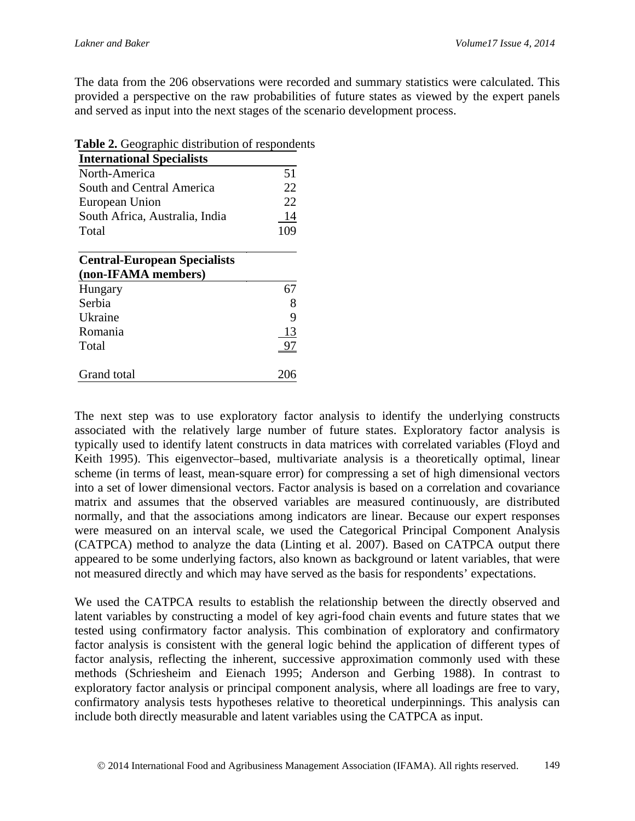The data from the 206 observations were recorded and summary statistics were calculated. This provided a perspective on the raw probabilities of future states as viewed by the expert panels and served as input into the next stages of the scenario development process.

**Table 2.** Geographic distribution of respondents

| <b>International Specialists</b>    |     |
|-------------------------------------|-----|
| North-America                       | 51  |
| South and Central America           | 22  |
| European Union                      | 22  |
| South Africa, Australia, India      | 14  |
| Total                               | 109 |
| <b>Central-European Specialists</b> |     |
| (non-IFAMA members)                 |     |
| Hungary                             | 67  |
| Serbia                              |     |
| Ukraine                             | 9   |
| Romania                             | 13  |
| Total                               |     |
| <b>Grand</b> total                  |     |

The next step was to use exploratory factor analysis to identify the underlying constructs associated with the relatively large number of future states. Exploratory factor analysis is typically used to identify latent constructs in data matrices with correlated variables (Floyd and Keith 1995). This eigenvector–based, multivariate analysis is a theoretically optimal, linear scheme (in terms of least, mean-square error) for compressing a set of high dimensional vectors into a set of lower dimensional vectors. Factor analysis is based on a correlation and covariance matrix and assumes that the observed variables are measured continuously, are distributed normally, and that the associations among indicators are linear. Because our expert responses were measured on an interval scale, we used the Categorical Principal Component Analysis (CATPCA) method to analyze the data (Linting et al. 2007). Based on CATPCA output there appeared to be some underlying factors, also known as background or latent variables, that were not measured directly and which may have served as the basis for respondents' expectations.

We used the CATPCA results to establish the relationship between the directly observed and latent variables by constructing a model of key agri-food chain events and future states that we tested using confirmatory factor analysis. This combination of exploratory and confirmatory factor analysis is consistent with the general logic behind the application of different types of factor analysis, reflecting the inherent, successive approximation commonly used with these methods (Schriesheim and Eienach 1995; Anderson and Gerbing 1988). In contrast to exploratory factor analysis or principal component analysis, where all loadings are free to vary, confirmatory analysis tests hypotheses relative to theoretical underpinnings. This analysis can include both directly measurable and latent variables using the CATPCA as input.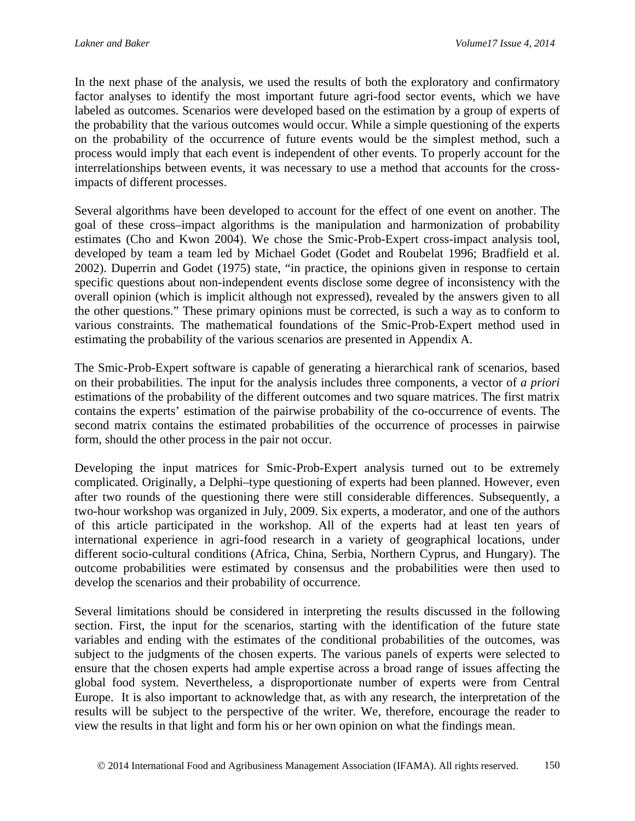In the next phase of the analysis, we used the results of both the exploratory and confirmatory factor analyses to identify the most important future agri-food sector events, which we have labeled as outcomes. Scenarios were developed based on the estimation by a group of experts of the probability that the various outcomes would occur. While a simple questioning of the experts on the probability of the occurrence of future events would be the simplest method, such a process would imply that each event is independent of other events. To properly account for the interrelationships between events, it was necessary to use a method that accounts for the crossimpacts of different processes.

Several algorithms have been developed to account for the effect of one event on another. The goal of these cross–impact algorithms is the manipulation and harmonization of probability estimates (Cho and Kwon 2004). We chose the Smic-Prob-Expert cross-impact analysis tool, developed by team a team led by Michael Godet (Godet and Roubelat 1996; Bradfield et al. 2002). Duperrin and Godet (1975) state, "in practice, the opinions given in response to certain specific questions about non-independent events disclose some degree of inconsistency with the overall opinion (which is implicit although not expressed), revealed by the answers given to all the other questions." These primary opinions must be corrected, is such a way as to conform to various constraints. The mathematical foundations of the Smic-Prob-Expert method used in estimating the probability of the various scenarios are presented in Appendix A.

The Smic-Prob-Expert software is capable of generating a hierarchical rank of scenarios, based on their probabilities. The input for the analysis includes three components, a vector of *a priori* estimations of the probability of the different outcomes and two square matrices. The first matrix contains the experts' estimation of the pairwise probability of the co-occurrence of events. The second matrix contains the estimated probabilities of the occurrence of processes in pairwise form, should the other process in the pair not occur.

Developing the input matrices for Smic-Prob-Expert analysis turned out to be extremely complicated. Originally, a Delphi–type questioning of experts had been planned. However, even after two rounds of the questioning there were still considerable differences. Subsequently, a two-hour workshop was organized in July, 2009. Six experts, a moderator, and one of the authors of this article participated in the workshop. All of the experts had at least ten years of international experience in agri-food research in a variety of geographical locations, under different socio-cultural conditions (Africa, China, Serbia, Northern Cyprus, and Hungary). The outcome probabilities were estimated by consensus and the probabilities were then used to develop the scenarios and their probability of occurrence.

Several limitations should be considered in interpreting the results discussed in the following section. First, the input for the scenarios, starting with the identification of the future state variables and ending with the estimates of the conditional probabilities of the outcomes, was subject to the judgments of the chosen experts. The various panels of experts were selected to ensure that the chosen experts had ample expertise across a broad range of issues affecting the global food system. Nevertheless, a disproportionate number of experts were from Central Europe. It is also important to acknowledge that, as with any research, the interpretation of the results will be subject to the perspective of the writer. We, therefore, encourage the reader to view the results in that light and form his or her own opinion on what the findings mean.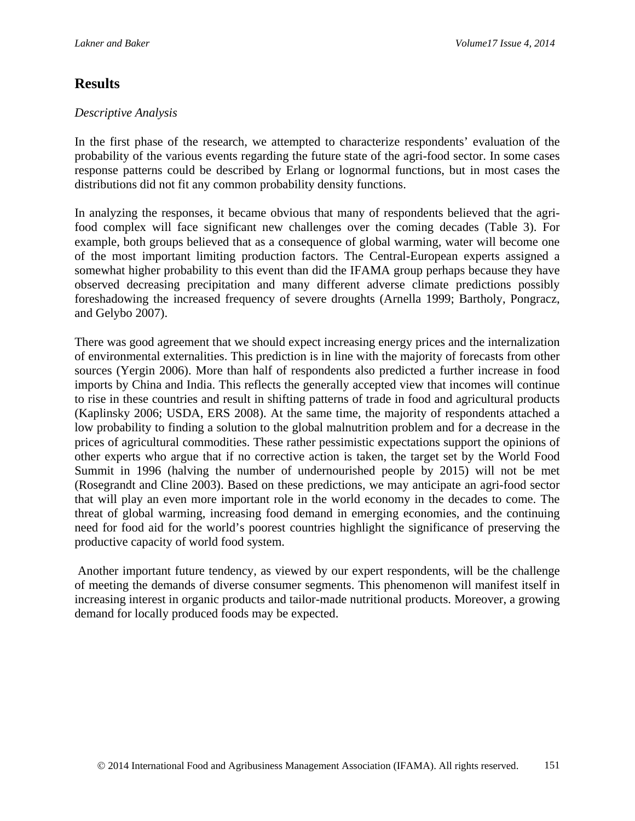## **Results**

### *Descriptive Analysis*

In the first phase of the research, we attempted to characterize respondents' evaluation of the probability of the various events regarding the future state of the agri-food sector. In some cases response patterns could be described by Erlang or lognormal functions, but in most cases the distributions did not fit any common probability density functions.

In analyzing the responses, it became obvious that many of respondents believed that the agrifood complex will face significant new challenges over the coming decades (Table 3). For example, both groups believed that as a consequence of global warming, water will become one of the most important limiting production factors. The Central-European experts assigned a somewhat higher probability to this event than did the IFAMA group perhaps because they have observed decreasing precipitation and many different adverse climate predictions possibly foreshadowing the increased frequency of severe droughts (Arnella 1999; Bartholy, Pongracz, and Gelybo 2007).

There was good agreement that we should expect increasing energy prices and the internalization of environmental externalities. This prediction is in line with the majority of forecasts from other sources (Yergin 2006). More than half of respondents also predicted a further increase in food imports by China and India. This reflects the generally accepted view that incomes will continue to rise in these countries and result in shifting patterns of trade in food and agricultural products (Kaplinsky 2006; USDA, ERS 2008). At the same time, the majority of respondents attached a low probability to finding a solution to the global malnutrition problem and for a decrease in the prices of agricultural commodities. These rather pessimistic expectations support the opinions of other experts who argue that if no corrective action is taken, the target set by the World Food Summit in 1996 (halving the number of undernourished people by 2015) will not be met (Rosegrandt and Cline 2003). Based on these predictions, we may anticipate an agri-food sector that will play an even more important role in the world economy in the decades to come. The threat of global warming, increasing food demand in emerging economies, and the continuing need for food aid for the world's poorest countries highlight the significance of preserving the productive capacity of world food system.

Another important future tendency, as viewed by our expert respondents, will be the challenge of meeting the demands of diverse consumer segments. This phenomenon will manifest itself in increasing interest in organic products and tailor-made nutritional products. Moreover, a growing demand for locally produced foods may be expected.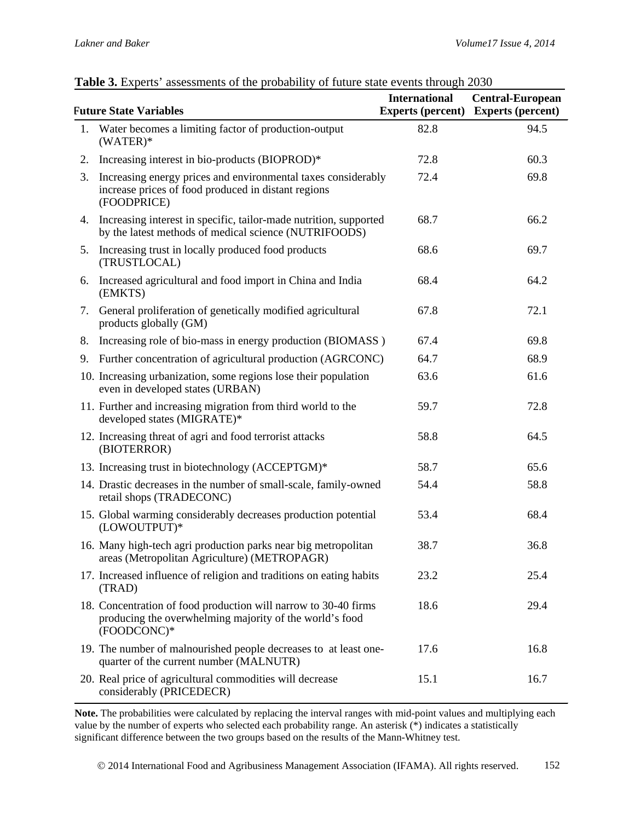#### **Future State Variables International Experts (percent) Experts (percent) Central-European**  1. Water becomes a limiting factor of production-output (WATER)\* 82.8 94.5 2. Increasing interest in bio-products (BIOPROD)\* 72.8 60.3 3. Increasing energy prices and environmental taxes considerably increase prices of food produced in distant regions (FOODPRICE) 72.4 69.8 4. Increasing interest in specific, tailor-made nutrition, supported by the latest methods of medical science (NUTRIFOODS) 68.7 66.2 5. Increasing trust in locally produced food products (TRUSTLOCAL) 68.6 69.7 6. Increased agricultural and food import in China and India (EMKTS) 68.4 64.2 7. General proliferation of genetically modified agricultural products globally (GM) 67.8 72.1 8. Increasing role of bio-mass in energy production (BIOMASS) 67.4 69.8 9. Further concentration of agricultural production (AGRCONC) 64.7 68.9 10. Increasing urbanization, some regions lose their population even in developed states (URBAN) 63.6 61.6 11. Further and increasing migration from third world to the developed states (MIGRATE)\* 59.7 72.8 12. Increasing threat of agri and food terrorist attacks (BIOTERROR) 58.8 64.5 13. Increasing trust in biotechnology (ACCEPTGM)\* 58.7 65.6 14. Drastic decreases in the number of small-scale, family-owned retail shops (TRADECONC) 54.4 58.8 15. Global warming considerably decreases production potential (LOWOUTPUT)\* 53.4 68.4 16. Many high-tech agri production parks near big metropolitan areas (Metropolitan Agriculture) (METROPAGR) 38.7 36.8 17. Increased influence of religion and traditions on eating habits (TRAD) 23.2 25.4 18. Concentration of food production will narrow to 30-40 firms producing the overwhelming majority of the world's food (FOODCONC)\* 18.6 29.4 19. The number of malnourished people decreases to at least onequarter of the current number (MALNUTR) 17.6 16.8 20. Real price of agricultural commodities will decrease considerably (PRICEDECR) 15.1 16.7

#### **Table 3.** Experts' assessments of the probability of future state events through 2030

**Note.** The probabilities were calculated by replacing the interval ranges with mid-point values and multiplying each value by the number of experts who selected each probability range. An asterisk (\*) indicates a statistically significant difference between the two groups based on the results of the Mann-Whitney test.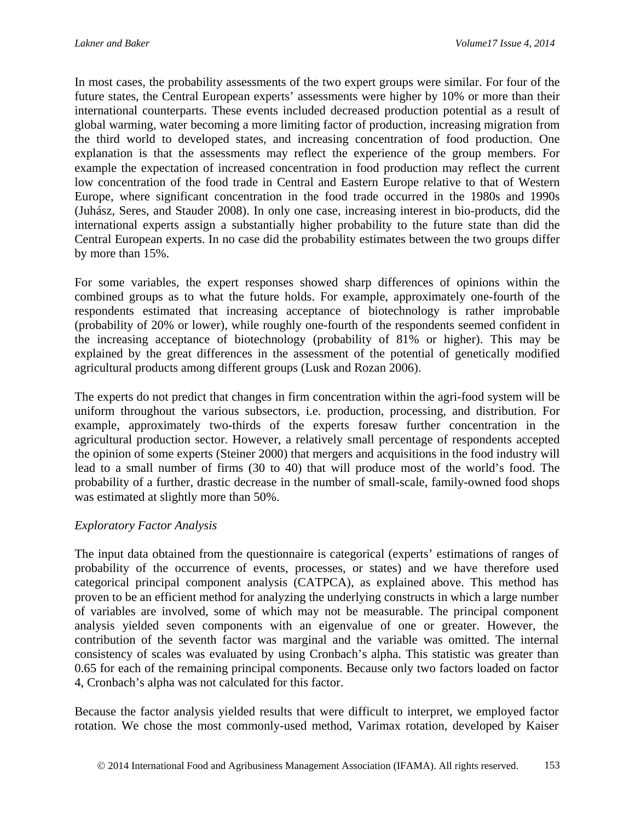In most cases, the probability assessments of the two expert groups were similar. For four of the future states, the Central European experts' assessments were higher by 10% or more than their international counterparts. These events included decreased production potential as a result of global warming, water becoming a more limiting factor of production, increasing migration from the third world to developed states, and increasing concentration of food production. One explanation is that the assessments may reflect the experience of the group members. For example the expectation of increased concentration in food production may reflect the current low concentration of the food trade in Central and Eastern Europe relative to that of Western Europe, where significant concentration in the food trade occurred in the 1980s and 1990s (Juhász, Seres, and Stauder 2008). In only one case, increasing interest in bio-products, did the international experts assign a substantially higher probability to the future state than did the Central European experts. In no case did the probability estimates between the two groups differ by more than 15%.

For some variables, the expert responses showed sharp differences of opinions within the combined groups as to what the future holds. For example, approximately one-fourth of the respondents estimated that increasing acceptance of biotechnology is rather improbable (probability of 20% or lower), while roughly one-fourth of the respondents seemed confident in the increasing acceptance of biotechnology (probability of 81% or higher). This may be explained by the great differences in the assessment of the potential of genetically modified agricultural products among different groups (Lusk and Rozan 2006).

The experts do not predict that changes in firm concentration within the agri-food system will be uniform throughout the various subsectors, i.e. production, processing, and distribution. For example, approximately two-thirds of the experts foresaw further concentration in the agricultural production sector. However, a relatively small percentage of respondents accepted the opinion of some experts (Steiner 2000) that mergers and acquisitions in the food industry will lead to a small number of firms (30 to 40) that will produce most of the world's food. The probability of a further, drastic decrease in the number of small-scale, family-owned food shops was estimated at slightly more than 50%.

#### *Exploratory Factor Analysis*

The input data obtained from the questionnaire is categorical (experts' estimations of ranges of probability of the occurrence of events, processes, or states) and we have therefore used categorical principal component analysis (CATPCA), as explained above. This method has proven to be an efficient method for analyzing the underlying constructs in which a large number of variables are involved, some of which may not be measurable. The principal component analysis yielded seven components with an eigenvalue of one or greater. However, the contribution of the seventh factor was marginal and the variable was omitted. The internal consistency of scales was evaluated by using Cronbach's alpha. This statistic was greater than 0.65 for each of the remaining principal components. Because only two factors loaded on factor 4, Cronbach's alpha was not calculated for this factor.

Because the factor analysis yielded results that were difficult to interpret, we employed factor rotation. We chose the most commonly-used method, Varimax rotation, developed by Kaiser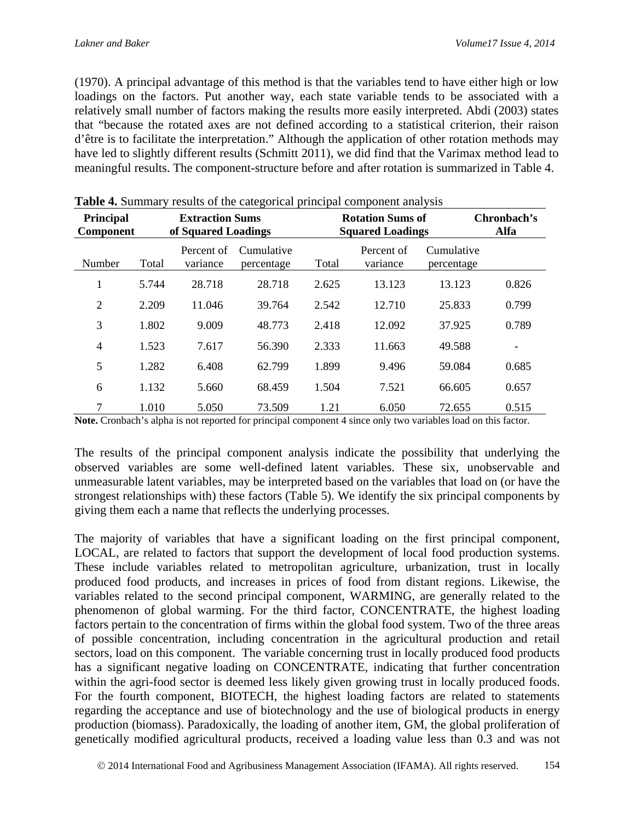(1970). A principal advantage of this method is that the variables tend to have either high or low loadings on the factors. Put another way, each state variable tends to be associated with a relatively small number of factors making the results more easily interpreted. Abdi (2003) states that "because the rotated axes are not defined according to a statistical criterion, their raison d'être is to facilitate the interpretation." Although the application of other rotation methods may have led to slightly different results (Schmitt 2011), we did find that the Varimax method lead to meaningful results. The component-structure before and after rotation is summarized in Table 4.

| Principal<br>Component |       | <b>Extraction Sums</b><br>of Squared Loadings |                          |       | <b>Rotation Sums of</b><br><b>Squared Loadings</b> |                          | Chronbach's<br>Alfa |
|------------------------|-------|-----------------------------------------------|--------------------------|-------|----------------------------------------------------|--------------------------|---------------------|
| Number                 | Total | Percent of<br>variance                        | Cumulative<br>percentage | Total | Percent of<br>variance                             | Cumulative<br>percentage |                     |
| 1                      | 5.744 | 28.718                                        | 28.718                   | 2.625 | 13.123                                             | 13.123                   | 0.826               |
| $\overline{2}$         | 2.209 | 11.046                                        | 39.764                   | 2.542 | 12.710                                             | 25.833                   | 0.799               |
| 3                      | 1.802 | 9.009                                         | 48.773                   | 2.418 | 12.092                                             | 37.925                   | 0.789               |
| $\overline{4}$         | 1.523 | 7.617                                         | 56.390                   | 2.333 | 11.663                                             | 49.588                   |                     |
| 5                      | 1.282 | 6.408                                         | 62.799                   | 1.899 | 9.496                                              | 59.084                   | 0.685               |
| 6                      | 1.132 | 5.660                                         | 68.459                   | 1.504 | 7.521                                              | 66.605                   | 0.657               |
| 7                      | 1.010 | 5.050                                         | 73.509                   | 1.21  | 6.050                                              | 72.655                   | 0.515               |

|  |  | <b>Table 4.</b> Summary results of the categorical principal component analysis |
|--|--|---------------------------------------------------------------------------------|
|  |  |                                                                                 |

Note. Cronbach's alpha is not reported for principal component 4 since only two variables load on this factor.

The results of the principal component analysis indicate the possibility that underlying the observed variables are some well-defined latent variables. These six, unobservable and unmeasurable latent variables, may be interpreted based on the variables that load on (or have the strongest relationships with) these factors (Table 5). We identify the six principal components by giving them each a name that reflects the underlying processes.

The majority of variables that have a significant loading on the first principal component, LOCAL, are related to factors that support the development of local food production systems. These include variables related to metropolitan agriculture, urbanization, trust in locally produced food products, and increases in prices of food from distant regions. Likewise, the variables related to the second principal component, WARMING, are generally related to the phenomenon of global warming. For the third factor, CONCENTRATE, the highest loading factors pertain to the concentration of firms within the global food system. Two of the three areas of possible concentration, including concentration in the agricultural production and retail sectors, load on this component. The variable concerning trust in locally produced food products has a significant negative loading on CONCENTRATE, indicating that further concentration within the agri-food sector is deemed less likely given growing trust in locally produced foods. For the fourth component, BIOTECH, the highest loading factors are related to statements regarding the acceptance and use of biotechnology and the use of biological products in energy production (biomass). Paradoxically, the loading of another item, GM, the global proliferation of genetically modified agricultural products, received a loading value less than 0.3 and was not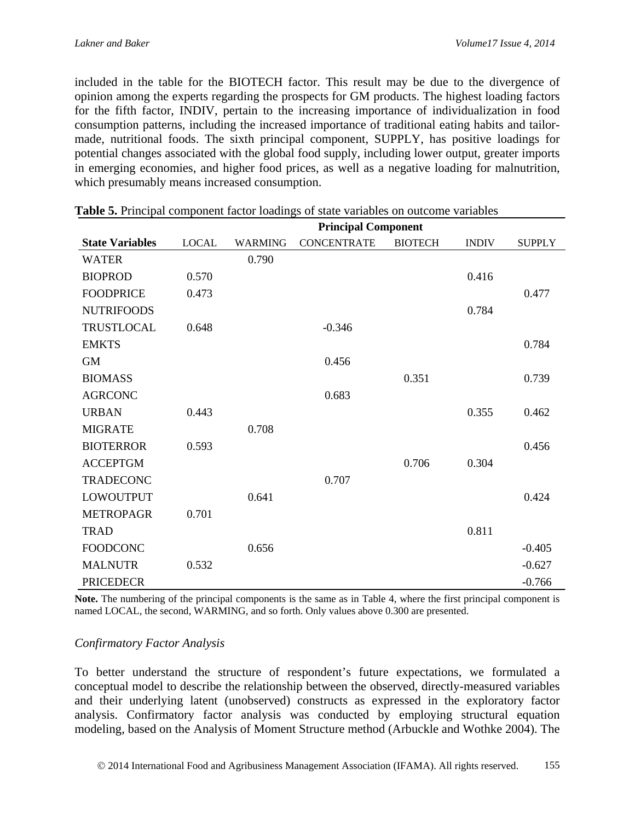included in the table for the BIOTECH factor. This result may be due to the divergence of opinion among the experts regarding the prospects for GM products. The highest loading factors for the fifth factor, INDIV, pertain to the increasing importance of individualization in food consumption patterns, including the increased importance of traditional eating habits and tailormade, nutritional foods. The sixth principal component, SUPPLY, has positive loadings for potential changes associated with the global food supply, including lower output, greater imports in emerging economies, and higher food prices, as well as a negative loading for malnutrition, which presumably means increased consumption.

|                        | able of Frincipal component factor fourings of state variables on outcome variables<br><b>Principal Component</b> |                |                    |                |              |               |
|------------------------|-------------------------------------------------------------------------------------------------------------------|----------------|--------------------|----------------|--------------|---------------|
| <b>State Variables</b> | <b>LOCAL</b>                                                                                                      | <b>WARMING</b> | <b>CONCENTRATE</b> | <b>BIOTECH</b> | <b>INDIV</b> | <b>SUPPLY</b> |
| <b>WATER</b>           |                                                                                                                   | 0.790          |                    |                |              |               |
| <b>BIOPROD</b>         | 0.570                                                                                                             |                |                    |                | 0.416        |               |
| <b>FOODPRICE</b>       | 0.473                                                                                                             |                |                    |                |              | 0.477         |
| <b>NUTRIFOODS</b>      |                                                                                                                   |                |                    |                | 0.784        |               |
| TRUSTLOCAL             | 0.648                                                                                                             |                | $-0.346$           |                |              |               |
| <b>EMKTS</b>           |                                                                                                                   |                |                    |                |              | 0.784         |
| <b>GM</b>              |                                                                                                                   |                | 0.456              |                |              |               |
| <b>BIOMASS</b>         |                                                                                                                   |                |                    | 0.351          |              | 0.739         |
| <b>AGRCONC</b>         |                                                                                                                   |                | 0.683              |                |              |               |
| <b>URBAN</b>           | 0.443                                                                                                             |                |                    |                | 0.355        | 0.462         |
| <b>MIGRATE</b>         |                                                                                                                   | 0.708          |                    |                |              |               |
| <b>BIOTERROR</b>       | 0.593                                                                                                             |                |                    |                |              | 0.456         |
| <b>ACCEPTGM</b>        |                                                                                                                   |                |                    | 0.706          | 0.304        |               |
| <b>TRADECONC</b>       |                                                                                                                   |                | 0.707              |                |              |               |
| <b>LOWOUTPUT</b>       |                                                                                                                   | 0.641          |                    |                |              | 0.424         |
| <b>METROPAGR</b>       | 0.701                                                                                                             |                |                    |                |              |               |
| <b>TRAD</b>            |                                                                                                                   |                |                    |                | 0.811        |               |
| <b>FOODCONC</b>        |                                                                                                                   | 0.656          |                    |                |              | $-0.405$      |
| <b>MALNUTR</b>         | 0.532                                                                                                             |                |                    |                |              | $-0.627$      |
| <b>PRICEDECR</b>       |                                                                                                                   |                |                    |                |              | $-0.766$      |

| Table 5. Principal component factor loadings of state variables on outcome variables |
|--------------------------------------------------------------------------------------|
|--------------------------------------------------------------------------------------|

**Note.** The numbering of the principal components is the same as in Table 4, where the first principal component is named LOCAL, the second, WARMING, and so forth. Only values above 0.300 are presented.

#### *Confirmatory Factor Analysis*

To better understand the structure of respondent's future expectations, we formulated a conceptual model to describe the relationship between the observed, directly-measured variables and their underlying latent (unobserved) constructs as expressed in the exploratory factor analysis. Confirmatory factor analysis was conducted by employing structural equation modeling, based on the Analysis of Moment Structure method (Arbuckle and Wothke 2004). The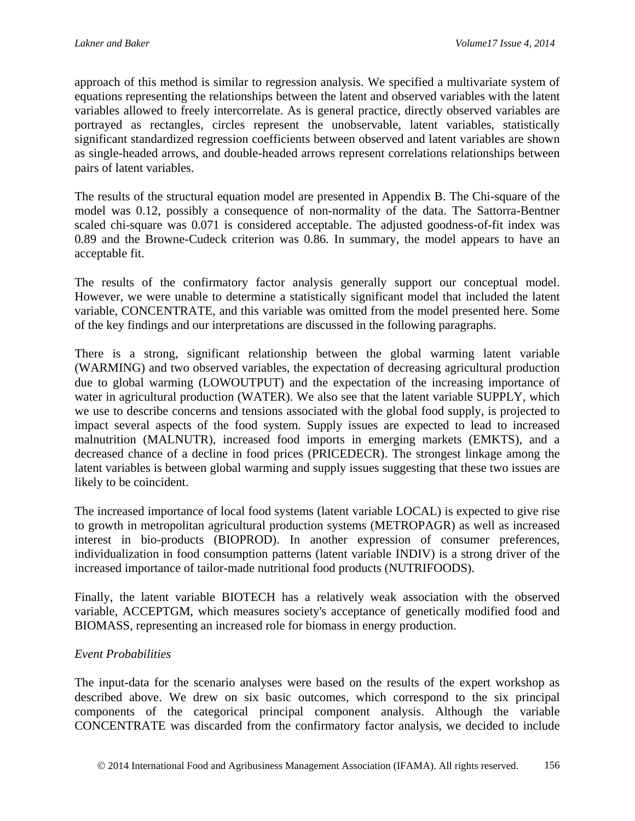approach of this method is similar to regression analysis. We specified a multivariate system of equations representing the relationships between the latent and observed variables with the latent variables allowed to freely intercorrelate. As is general practice, directly observed variables are portrayed as rectangles, circles represent the unobservable, latent variables, statistically significant standardized regression coefficients between observed and latent variables are shown as single-headed arrows, and double-headed arrows represent correlations relationships between pairs of latent variables.

The results of the structural equation model are presented in Appendix B. The Chi-square of the model was 0.12, possibly a consequence of non-normality of the data. The Sattorra-Bentner scaled chi-square was 0.071 is considered acceptable. The adjusted goodness-of-fit index was 0.89 and the Browne-Cudeck criterion was 0.86. In summary, the model appears to have an acceptable fit.

The results of the confirmatory factor analysis generally support our conceptual model. However, we were unable to determine a statistically significant model that included the latent variable, CONCENTRATE, and this variable was omitted from the model presented here. Some of the key findings and our interpretations are discussed in the following paragraphs.

There is a strong, significant relationship between the global warming latent variable (WARMING) and two observed variables, the expectation of decreasing agricultural production due to global warming (LOWOUTPUT) and the expectation of the increasing importance of water in agricultural production (WATER). We also see that the latent variable SUPPLY, which we use to describe concerns and tensions associated with the global food supply, is projected to impact several aspects of the food system. Supply issues are expected to lead to increased malnutrition (MALNUTR), increased food imports in emerging markets (EMKTS), and a decreased chance of a decline in food prices (PRICEDECR). The strongest linkage among the latent variables is between global warming and supply issues suggesting that these two issues are likely to be coincident.

The increased importance of local food systems (latent variable LOCAL) is expected to give rise to growth in metropolitan agricultural production systems (METROPAGR) as well as increased interest in bio-products (BIOPROD). In another expression of consumer preferences, individualization in food consumption patterns (latent variable INDIV) is a strong driver of the increased importance of tailor-made nutritional food products (NUTRIFOODS).

Finally, the latent variable BIOTECH has a relatively weak association with the observed variable, ACCEPTGM, which measures society's acceptance of genetically modified food and BIOMASS, representing an increased role for biomass in energy production.

#### *Event Probabilities*

The input-data for the scenario analyses were based on the results of the expert workshop as described above. We drew on six basic outcomes, which correspond to the six principal components of the categorical principal component analysis. Although the variable CONCENTRATE was discarded from the confirmatory factor analysis, we decided to include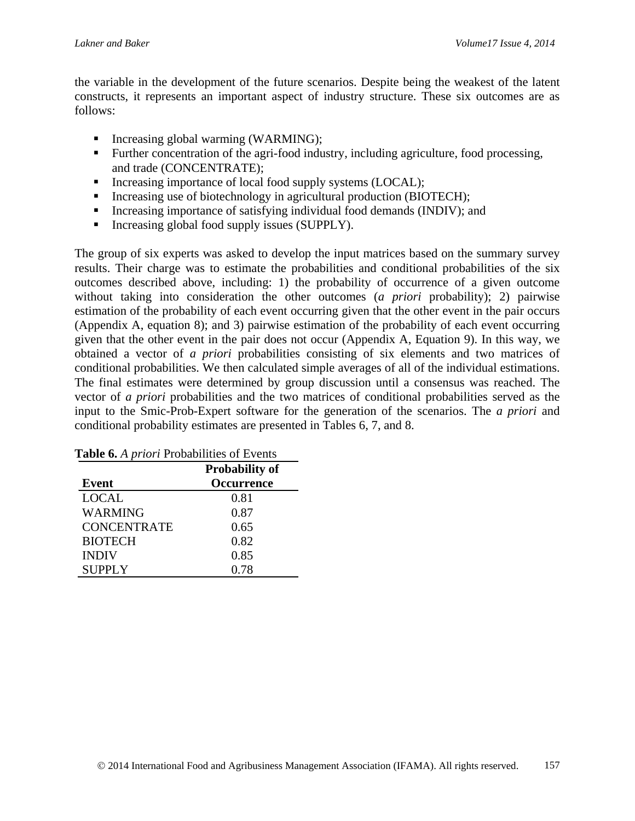the variable in the development of the future scenarios. Despite being the weakest of the latent constructs, it represents an important aspect of industry structure. These six outcomes are as follows:

- Increasing global warming (WARMING);
- Further concentration of the agri-food industry, including agriculture, food processing, and trade (CONCENTRATE);
- Increasing importance of local food supply systems (LOCAL);
- Increasing use of biotechnology in agricultural production (BIOTECH);
- Increasing importance of satisfying individual food demands (INDIV); and
- Increasing global food supply issues (SUPPLY).

The group of six experts was asked to develop the input matrices based on the summary survey results. Their charge was to estimate the probabilities and conditional probabilities of the six outcomes described above, including: 1) the probability of occurrence of a given outcome without taking into consideration the other outcomes (*a priori* probability); 2) pairwise estimation of the probability of each event occurring given that the other event in the pair occurs (Appendix A, equation 8); and 3) pairwise estimation of the probability of each event occurring given that the other event in the pair does not occur (Appendix A, Equation 9). In this way, we obtained a vector of *a priori* probabilities consisting of six elements and two matrices of conditional probabilities. We then calculated simple averages of all of the individual estimations. The final estimates were determined by group discussion until a consensus was reached. The vector of *a priori* probabilities and the two matrices of conditional probabilities served as the input to the Smic-Prob-Expert software for the generation of the scenarios. The *a priori* and conditional probability estimates are presented in Tables 6, 7, and 8.

|                    | <b>Probability of</b> |
|--------------------|-----------------------|
| <b>Event</b>       | Occurrence            |
| <b>LOCAL</b>       | 0.81                  |
| WARMING            | 0.87                  |
| <b>CONCENTRATE</b> | 0.65                  |
| <b>BIOTECH</b>     | 0.82                  |
| <b>INDIV</b>       | 0.85                  |
| <b>SUPPLY</b>      | 0.78                  |

**Table 6.** *A priori* Probabilities of Events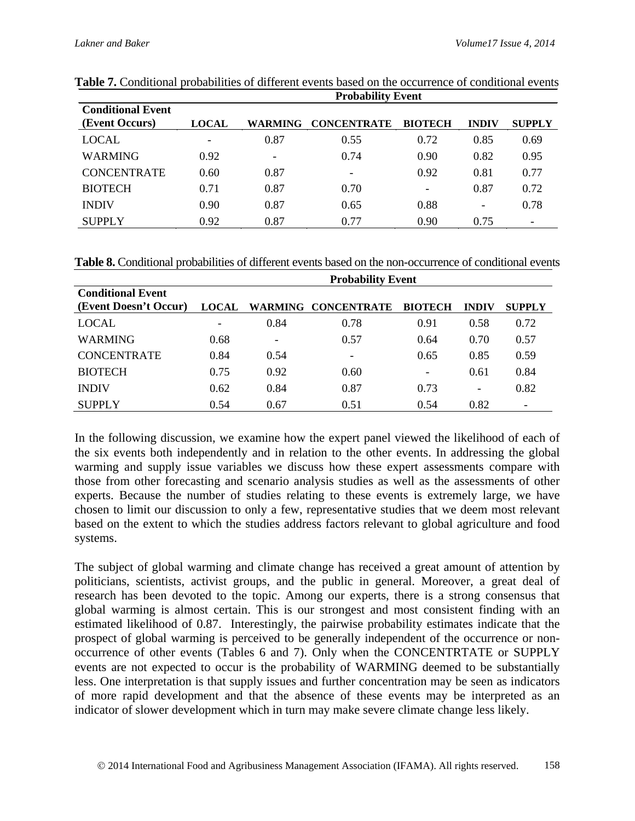|                                            | <b>Probability Event</b> |                          |                    |                          |                              |               |
|--------------------------------------------|--------------------------|--------------------------|--------------------|--------------------------|------------------------------|---------------|
| <b>Conditional Event</b><br>(Event Occurs) | <b>LOCAL</b>             | <b>WARMING</b>           | <b>CONCENTRATE</b> | <b>BIOTECH</b>           | <b>INDIV</b>                 | <b>SUPPLY</b> |
| LOCAL                                      | $\overline{\phantom{a}}$ | 0.87                     | 0.55               | 0.72                     | 0.85                         | 0.69          |
| <b>WARMING</b>                             | 0.92                     | $\overline{\phantom{0}}$ | 0.74               | 0.90                     | 0.82                         | 0.95          |
| <b>CONCENTRATE</b>                         | 0.60                     | 0.87                     | -                  | 0.92                     | 0.81                         | 0.77          |
| <b>BIOTECH</b>                             | 0.71                     | 0.87                     | 0.70               | $\overline{\phantom{a}}$ | 0.87                         | 0.72          |
| <b>INDIV</b>                               | 0.90                     | 0.87                     | 0.65               | 0.88                     | $\qquad \qquad \blacksquare$ | 0.78          |
| <b>SUPPLY</b>                              | 0.92                     | 0.87                     | 0.77               | 0.90                     | 0.75                         |               |

**Table 7.** Conditional probabilities of different events based on the occurrence of conditional events

**Table 8.** Conditional probabilities of different events based on the non-occurrence of conditional events

|                                                   | <b>Probability Event</b> |                          |                     |                          |                          |                          |
|---------------------------------------------------|--------------------------|--------------------------|---------------------|--------------------------|--------------------------|--------------------------|
| <b>Conditional Event</b><br>(Event Doesn't Occur) | <b>LOCAL</b>             |                          | WARMING CONCENTRATE | <b>BIOTECH</b>           | <b>INDIV</b>             | <b>SUPPLY</b>            |
| <b>LOCAL</b>                                      | $\overline{\phantom{a}}$ | 0.84                     | 0.78                | 0.91                     | 0.58                     | 0.72                     |
| WARMING                                           | 0.68                     | $\overline{\phantom{0}}$ | 0.57                | 0.64                     | 0.70                     | 0.57                     |
| <b>CONCENTRATE</b>                                | 0.84                     | 0.54                     | -                   | 0.65                     | 0.85                     | 0.59                     |
| <b>BIOTECH</b>                                    | 0.75                     | 0.92                     | 0.60                | $\overline{\phantom{0}}$ | 0.61                     | 0.84                     |
| <b>INDIV</b>                                      | 0.62                     | 0.84                     | 0.87                | 0.73                     | $\overline{\phantom{a}}$ | 0.82                     |
| <b>SUPPLY</b>                                     | 0.54                     | 0.67                     | 0.51                | 0.54                     | 0.82                     | $\overline{\phantom{a}}$ |

In the following discussion, we examine how the expert panel viewed the likelihood of each of the six events both independently and in relation to the other events. In addressing the global warming and supply issue variables we discuss how these expert assessments compare with those from other forecasting and scenario analysis studies as well as the assessments of other experts. Because the number of studies relating to these events is extremely large, we have chosen to limit our discussion to only a few, representative studies that we deem most relevant based on the extent to which the studies address factors relevant to global agriculture and food systems.

The subject of global warming and climate change has received a great amount of attention by politicians, scientists, activist groups, and the public in general. Moreover, a great deal of research has been devoted to the topic. Among our experts, there is a strong consensus that global warming is almost certain. This is our strongest and most consistent finding with an estimated likelihood of 0.87. Interestingly, the pairwise probability estimates indicate that the prospect of global warming is perceived to be generally independent of the occurrence or nonoccurrence of other events (Tables 6 and 7). Only when the CONCENTRTATE or SUPPLY events are not expected to occur is the probability of WARMING deemed to be substantially less. One interpretation is that supply issues and further concentration may be seen as indicators of more rapid development and that the absence of these events may be interpreted as an indicator of slower development which in turn may make severe climate change less likely.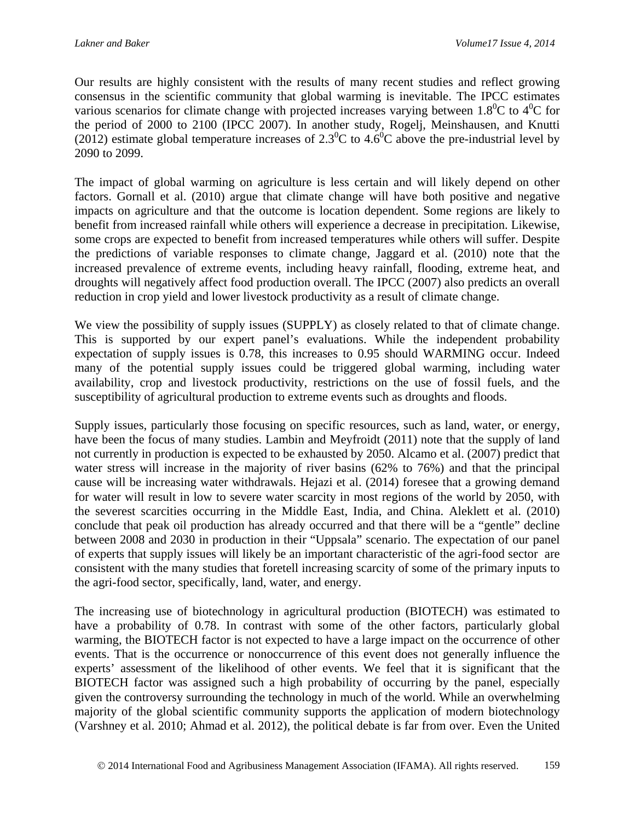Our results are highly consistent with the results of many recent studies and reflect growing consensus in the scientific community that global warming is inevitable. The IPCC estimates various scenarios for climate change with projected increases varying between  $1.8^{\circ}$ C to  $4^{\circ}$ C for the period of 2000 to 2100 (IPCC 2007). In another study, Rogelj, Meinshausen, and Knutti (2012) estimate global temperature increases of 2.3<sup>0</sup>C to 4.6<sup>0</sup>C above the pre-industrial level by 2090 to 2099.

The impact of global warming on agriculture is less certain and will likely depend on other factors. Gornall et al. (2010) argue that climate change will have both positive and negative impacts on agriculture and that the outcome is location dependent. Some regions are likely to benefit from increased rainfall while others will experience a decrease in precipitation. Likewise, some crops are expected to benefit from increased temperatures while others will suffer. Despite the predictions of variable responses to climate change, Jaggard et al. (2010) note that the increased prevalence of extreme events, including heavy rainfall, flooding, extreme heat, and droughts will negatively affect food production overall. The IPCC (2007) also predicts an overall reduction in crop yield and lower livestock productivity as a result of climate change.

We view the possibility of supply issues (SUPPLY) as closely related to that of climate change. This is supported by our expert panel's evaluations. While the independent probability expectation of supply issues is 0.78, this increases to 0.95 should WARMING occur. Indeed many of the potential supply issues could be triggered global warming, including water availability, crop and livestock productivity, restrictions on the use of fossil fuels, and the susceptibility of agricultural production to extreme events such as droughts and floods.

Supply issues, particularly those focusing on specific resources, such as land, water, or energy, have been the focus of many studies. Lambin and Meyfroidt (2011) note that the supply of land not currently in production is expected to be exhausted by 2050. Alcamo et al. (2007) predict that water stress will increase in the majority of river basins (62% to 76%) and that the principal cause will be increasing water withdrawals. Hejazi et al. (2014) foresee that a growing demand for water will result in low to severe water scarcity in most regions of the world by 2050, with the severest scarcities occurring in the Middle East, India, and China. Aleklett et al. (2010) conclude that peak oil production has already occurred and that there will be a "gentle" decline between 2008 and 2030 in production in their "Uppsala" scenario. The expectation of our panel of experts that supply issues will likely be an important characteristic of the agri-food sector are consistent with the many studies that foretell increasing scarcity of some of the primary inputs to the agri-food sector, specifically, land, water, and energy.

The increasing use of biotechnology in agricultural production (BIOTECH) was estimated to have a probability of 0.78. In contrast with some of the other factors, particularly global warming, the BIOTECH factor is not expected to have a large impact on the occurrence of other events. That is the occurrence or nonoccurrence of this event does not generally influence the experts' assessment of the likelihood of other events. We feel that it is significant that the BIOTECH factor was assigned such a high probability of occurring by the panel, especially given the controversy surrounding the technology in much of the world. While an overwhelming majority of the global scientific community supports the application of modern biotechnology (Varshney et al. 2010; Ahmad et al. 2012), the political debate is far from over. Even the United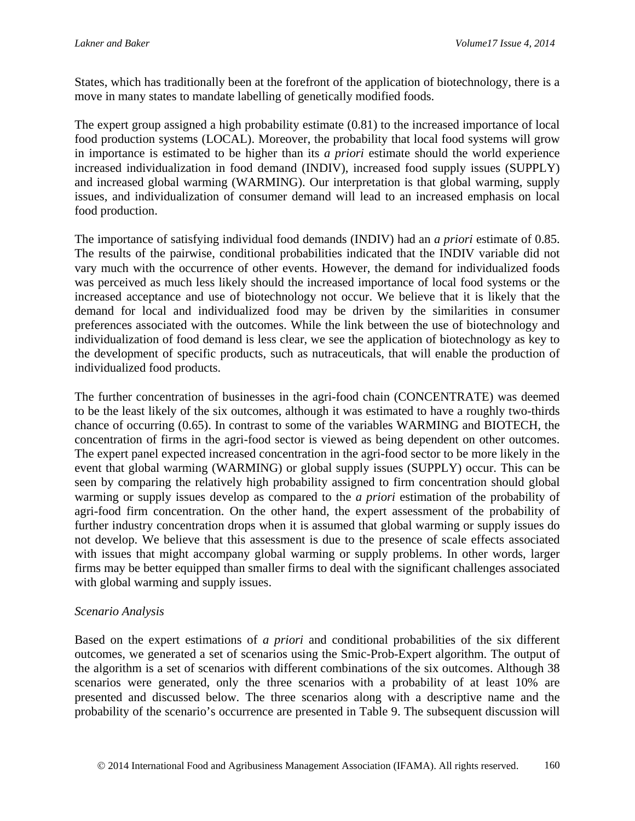States, which has traditionally been at the forefront of the application of biotechnology, there is a move in many states to mandate labelling of genetically modified foods.

The expert group assigned a high probability estimate (0.81) to the increased importance of local food production systems (LOCAL). Moreover, the probability that local food systems will grow in importance is estimated to be higher than its *a priori* estimate should the world experience increased individualization in food demand (INDIV), increased food supply issues (SUPPLY) and increased global warming (WARMING). Our interpretation is that global warming, supply issues, and individualization of consumer demand will lead to an increased emphasis on local food production.

The importance of satisfying individual food demands (INDIV) had an *a priori* estimate of 0.85. The results of the pairwise, conditional probabilities indicated that the INDIV variable did not vary much with the occurrence of other events. However, the demand for individualized foods was perceived as much less likely should the increased importance of local food systems or the increased acceptance and use of biotechnology not occur. We believe that it is likely that the demand for local and individualized food may be driven by the similarities in consumer preferences associated with the outcomes. While the link between the use of biotechnology and individualization of food demand is less clear, we see the application of biotechnology as key to the development of specific products, such as nutraceuticals, that will enable the production of individualized food products.

The further concentration of businesses in the agri-food chain (CONCENTRATE) was deemed to be the least likely of the six outcomes, although it was estimated to have a roughly two-thirds chance of occurring (0.65). In contrast to some of the variables WARMING and BIOTECH, the concentration of firms in the agri-food sector is viewed as being dependent on other outcomes. The expert panel expected increased concentration in the agri-food sector to be more likely in the event that global warming (WARMING) or global supply issues (SUPPLY) occur. This can be seen by comparing the relatively high probability assigned to firm concentration should global warming or supply issues develop as compared to the *a priori* estimation of the probability of agri-food firm concentration. On the other hand, the expert assessment of the probability of further industry concentration drops when it is assumed that global warming or supply issues do not develop. We believe that this assessment is due to the presence of scale effects associated with issues that might accompany global warming or supply problems. In other words, larger firms may be better equipped than smaller firms to deal with the significant challenges associated with global warming and supply issues.

#### *Scenario Analysis*

Based on the expert estimations of *a priori* and conditional probabilities of the six different outcomes, we generated a set of scenarios using the Smic-Prob-Expert algorithm. The output of the algorithm is a set of scenarios with different combinations of the six outcomes. Although 38 scenarios were generated, only the three scenarios with a probability of at least 10% are presented and discussed below. The three scenarios along with a descriptive name and the probability of the scenario's occurrence are presented in Table 9. The subsequent discussion will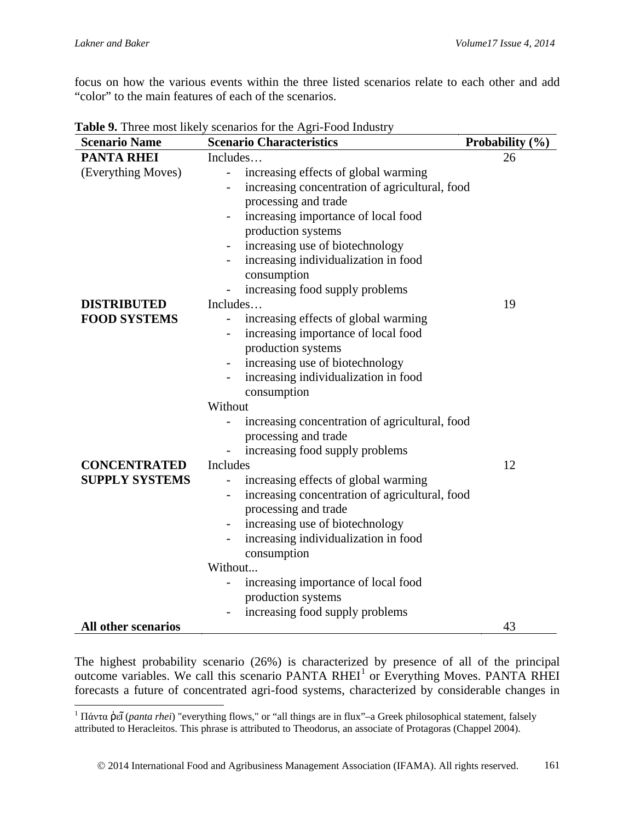$\overline{a}$ 

focus on how the various events within the three listed scenarios relate to each other and add "color" to the main features of each of the scenarios.

| <b>Scenario Name</b>       | <b>Scenario Characteristics</b>                                            | Probability (%) |
|----------------------------|----------------------------------------------------------------------------|-----------------|
| <b>PANTA RHEI</b>          | Includes                                                                   | 26              |
| (Everything Moves)         | increasing effects of global warming<br>$\blacksquare$                     |                 |
|                            | increasing concentration of agricultural, food                             |                 |
|                            | processing and trade                                                       |                 |
|                            | increasing importance of local food                                        |                 |
|                            | production systems                                                         |                 |
|                            | increasing use of biotechnology                                            |                 |
|                            | increasing individualization in food                                       |                 |
|                            | consumption                                                                |                 |
|                            | increasing food supply problems                                            |                 |
| <b>DISTRIBUTED</b>         | Includes                                                                   | 19              |
| <b>FOOD SYSTEMS</b>        | increasing effects of global warming<br>$\overline{\phantom{a}}$           |                 |
|                            | increasing importance of local food                                        |                 |
|                            | production systems                                                         |                 |
|                            | increasing use of biotechnology<br>$\overline{\phantom{a}}$                |                 |
|                            | increasing individualization in food                                       |                 |
|                            | consumption                                                                |                 |
|                            | Without                                                                    |                 |
|                            | increasing concentration of agricultural, food                             |                 |
|                            | processing and trade                                                       |                 |
|                            | increasing food supply problems                                            |                 |
| <b>CONCENTRATED</b>        | Includes                                                                   | 12              |
| <b>SUPPLY SYSTEMS</b>      | increasing effects of global warming                                       |                 |
|                            | increasing concentration of agricultural, food<br>$\overline{\phantom{a}}$ |                 |
|                            | processing and trade                                                       |                 |
|                            | increasing use of biotechnology<br>$\overline{\phantom{a}}$                |                 |
|                            | increasing individualization in food                                       |                 |
|                            | consumption                                                                |                 |
|                            | Without                                                                    |                 |
|                            | increasing importance of local food                                        |                 |
|                            | production systems                                                         |                 |
|                            | increasing food supply problems                                            |                 |
| <b>All other scenarios</b> |                                                                            | 43              |

**Table 9.** Three most likely scenarios for the Agri-Food Industry

The highest probability scenario (26%) is characterized by presence of all of the principal outcome variables. We call this scenario PANTA RHEI<sup>[1](#page-20-0)</sup> or Everything Moves. PANTA RHEI forecasts a future of concentrated agri-food systems, characterized by considerable changes in

<span id="page-20-0"></span><sup>1</sup> Πάντα ῥεῖ (*panta rhei*) "everything flows," or "all things are in flux"–a Greek philosophical statement, falsely attributed to Heracleitos. This phrase is attributed to Theodorus, an associate of Protagoras (Chappel 2004).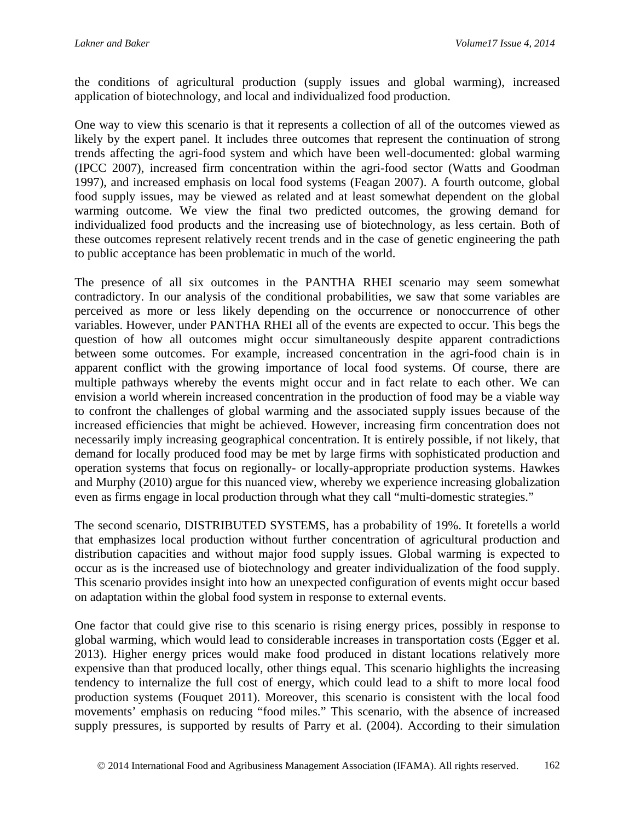the conditions of agricultural production (supply issues and global warming), increased application of biotechnology, and local and individualized food production.

One way to view this scenario is that it represents a collection of all of the outcomes viewed as likely by the expert panel. It includes three outcomes that represent the continuation of strong trends affecting the agri-food system and which have been well-documented: global warming (IPCC 2007), increased firm concentration within the agri-food sector (Watts and Goodman 1997), and increased emphasis on local food systems (Feagan 2007). A fourth outcome, global food supply issues, may be viewed as related and at least somewhat dependent on the global warming outcome. We view the final two predicted outcomes, the growing demand for individualized food products and the increasing use of biotechnology, as less certain. Both of these outcomes represent relatively recent trends and in the case of genetic engineering the path to public acceptance has been problematic in much of the world.

The presence of all six outcomes in the PANTHA RHEI scenario may seem somewhat contradictory. In our analysis of the conditional probabilities, we saw that some variables are perceived as more or less likely depending on the occurrence or nonoccurrence of other variables. However, under PANTHA RHEI all of the events are expected to occur. This begs the question of how all outcomes might occur simultaneously despite apparent contradictions between some outcomes. For example, increased concentration in the agri-food chain is in apparent conflict with the growing importance of local food systems. Of course, there are multiple pathways whereby the events might occur and in fact relate to each other. We can envision a world wherein increased concentration in the production of food may be a viable way to confront the challenges of global warming and the associated supply issues because of the increased efficiencies that might be achieved. However, increasing firm concentration does not necessarily imply increasing geographical concentration. It is entirely possible, if not likely, that demand for locally produced food may be met by large firms with sophisticated production and operation systems that focus on regionally- or locally-appropriate production systems. Hawkes and Murphy (2010) argue for this nuanced view, whereby we experience increasing globalization even as firms engage in local production through what they call "multi-domestic strategies."

The second scenario, DISTRIBUTED SYSTEMS, has a probability of 19%. It foretells a world that emphasizes local production without further concentration of agricultural production and distribution capacities and without major food supply issues. Global warming is expected to occur as is the increased use of biotechnology and greater individualization of the food supply. This scenario provides insight into how an unexpected configuration of events might occur based on adaptation within the global food system in response to external events.

One factor that could give rise to this scenario is rising energy prices, possibly in response to global warming, which would lead to considerable increases in transportation costs (Egger et al. 2013). Higher energy prices would make food produced in distant locations relatively more expensive than that produced locally, other things equal. This scenario highlights the increasing tendency to internalize the full cost of energy, which could lead to a shift to more local food production systems (Fouquet 2011). Moreover, this scenario is consistent with the local food movements' emphasis on reducing "food miles." This scenario, with the absence of increased supply pressures, is supported by results of Parry et al. (2004). According to their simulation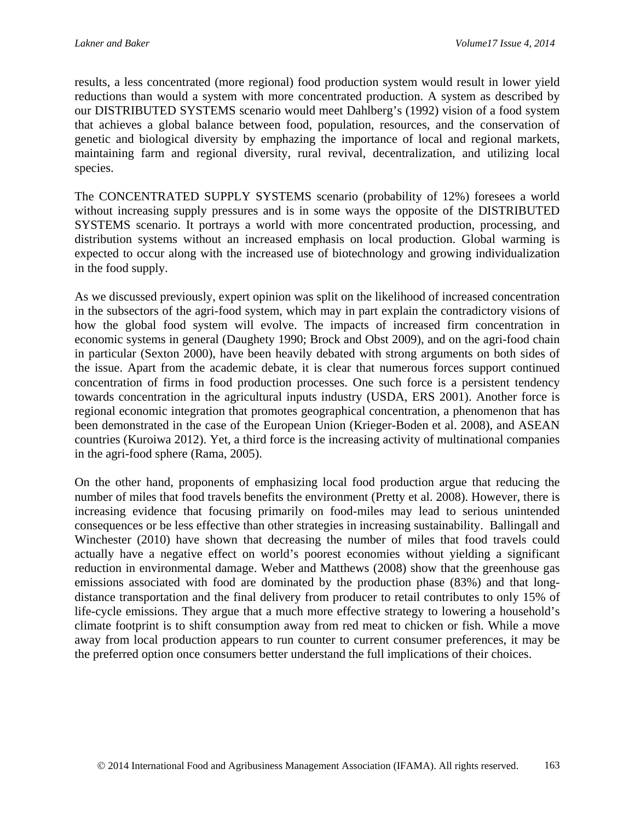results, a less concentrated (more regional) food production system would result in lower yield reductions than would a system with more concentrated production. A system as described by our DISTRIBUTED SYSTEMS scenario would meet Dahlberg's (1992) vision of a food system that achieves a global balance between food, population, resources, and the conservation of genetic and biological diversity by emphazing the importance of local and regional markets, maintaining farm and regional diversity, rural revival, decentralization, and utilizing local species.

The CONCENTRATED SUPPLY SYSTEMS scenario (probability of 12%) foresees a world without increasing supply pressures and is in some ways the opposite of the DISTRIBUTED SYSTEMS scenario. It portrays a world with more concentrated production, processing, and distribution systems without an increased emphasis on local production. Global warming is expected to occur along with the increased use of biotechnology and growing individualization in the food supply.

As we discussed previously, expert opinion was split on the likelihood of increased concentration in the subsectors of the agri-food system, which may in part explain the contradictory visions of how the global food system will evolve. The impacts of increased firm concentration in economic systems in general (Daughety 1990; Brock and Obst 2009), and on the agri-food chain in particular (Sexton 2000), have been heavily debated with strong arguments on both sides of the issue. Apart from the academic debate, it is clear that numerous forces support continued concentration of firms in food production processes. One such force is a persistent tendency towards concentration in the agricultural inputs industry (USDA, ERS 2001). Another force is regional economic integration that promotes geographical concentration, a phenomenon that has been demonstrated in the case of the European Union (Krieger-Boden et al. 2008), and ASEAN countries (Kuroiwa 2012). Yet, a third force is the increasing activity of multinational companies in the agri-food sphere (Rama, 2005).

On the other hand, proponents of emphasizing local food production argue that reducing the number of miles that food travels benefits the environment (Pretty et al. 2008). However, there is increasing evidence that focusing primarily on food-miles may lead to serious unintended consequences or be less effective than other strategies in increasing sustainability. Ballingall and Winchester (2010) have shown that decreasing the number of miles that food travels could actually have a negative effect on world's poorest economies without yielding a significant reduction in environmental damage. Weber and Matthews (2008) show that the greenhouse gas emissions associated with food are dominated by the production phase (83%) and that longdistance transportation and the final delivery from producer to retail contributes to only 15% of life-cycle emissions. They argue that a much more effective strategy to lowering a household's climate footprint is to shift consumption away from red meat to chicken or fish. While a move away from local production appears to run counter to current consumer preferences, it may be the preferred option once consumers better understand the full implications of their choices.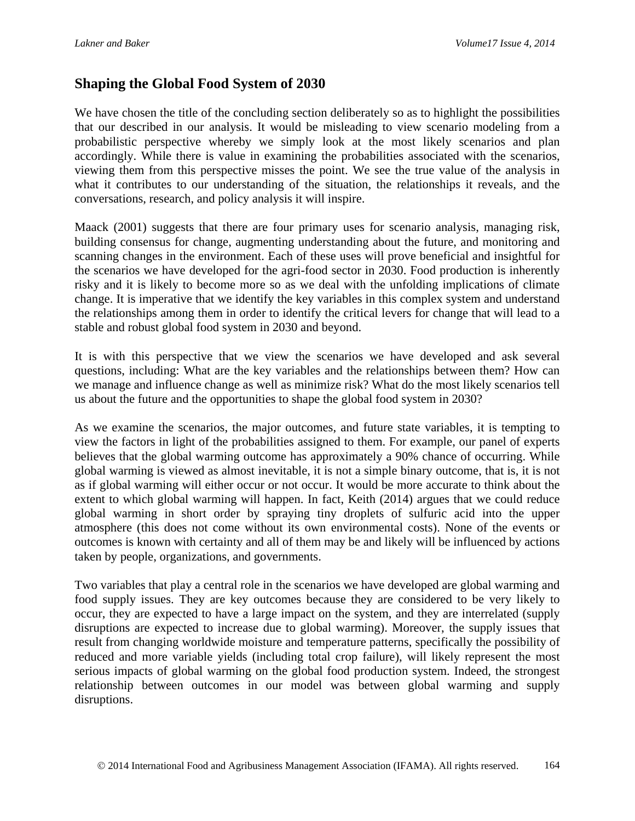### **Shaping the Global Food System of 2030**

We have chosen the title of the concluding section deliberately so as to highlight the possibilities that our described in our analysis. It would be misleading to view scenario modeling from a probabilistic perspective whereby we simply look at the most likely scenarios and plan accordingly. While there is value in examining the probabilities associated with the scenarios, viewing them from this perspective misses the point. We see the true value of the analysis in what it contributes to our understanding of the situation, the relationships it reveals, and the conversations, research, and policy analysis it will inspire.

Maack (2001) suggests that there are four primary uses for scenario analysis, managing risk, building consensus for change, augmenting understanding about the future, and monitoring and scanning changes in the environment. Each of these uses will prove beneficial and insightful for the scenarios we have developed for the agri-food sector in 2030. Food production is inherently risky and it is likely to become more so as we deal with the unfolding implications of climate change. It is imperative that we identify the key variables in this complex system and understand the relationships among them in order to identify the critical levers for change that will lead to a stable and robust global food system in 2030 and beyond.

It is with this perspective that we view the scenarios we have developed and ask several questions, including: What are the key variables and the relationships between them? How can we manage and influence change as well as minimize risk? What do the most likely scenarios tell us about the future and the opportunities to shape the global food system in 2030?

As we examine the scenarios, the major outcomes, and future state variables, it is tempting to view the factors in light of the probabilities assigned to them. For example, our panel of experts believes that the global warming outcome has approximately a 90% chance of occurring. While global warming is viewed as almost inevitable, it is not a simple binary outcome, that is, it is not as if global warming will either occur or not occur. It would be more accurate to think about the extent to which global warming will happen. In fact, Keith (2014) argues that we could reduce global warming in short order by spraying tiny droplets of sulfuric acid into the upper atmosphere (this does not come without its own environmental costs). None of the events or outcomes is known with certainty and all of them may be and likely will be influenced by actions taken by people, organizations, and governments.

Two variables that play a central role in the scenarios we have developed are global warming and food supply issues. They are key outcomes because they are considered to be very likely to occur, they are expected to have a large impact on the system, and they are interrelated (supply disruptions are expected to increase due to global warming). Moreover, the supply issues that result from changing worldwide moisture and temperature patterns, specifically the possibility of reduced and more variable yields (including total crop failure), will likely represent the most serious impacts of global warming on the global food production system. Indeed, the strongest relationship between outcomes in our model was between global warming and supply disruptions.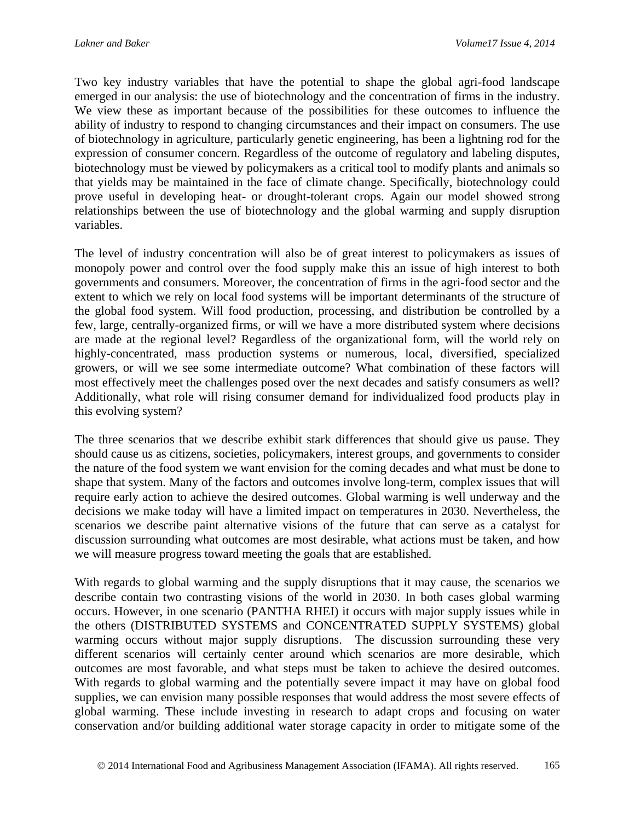Two key industry variables that have the potential to shape the global agri-food landscape emerged in our analysis: the use of biotechnology and the concentration of firms in the industry. We view these as important because of the possibilities for these outcomes to influence the ability of industry to respond to changing circumstances and their impact on consumers. The use of biotechnology in agriculture, particularly genetic engineering, has been a lightning rod for the expression of consumer concern. Regardless of the outcome of regulatory and labeling disputes, biotechnology must be viewed by policymakers as a critical tool to modify plants and animals so that yields may be maintained in the face of climate change. Specifically, biotechnology could prove useful in developing heat- or drought-tolerant crops. Again our model showed strong relationships between the use of biotechnology and the global warming and supply disruption variables.

The level of industry concentration will also be of great interest to policymakers as issues of monopoly power and control over the food supply make this an issue of high interest to both governments and consumers. Moreover, the concentration of firms in the agri-food sector and the extent to which we rely on local food systems will be important determinants of the structure of the global food system. Will food production, processing, and distribution be controlled by a few, large, centrally-organized firms, or will we have a more distributed system where decisions are made at the regional level? Regardless of the organizational form, will the world rely on highly-concentrated, mass production systems or numerous, local, diversified, specialized growers, or will we see some intermediate outcome? What combination of these factors will most effectively meet the challenges posed over the next decades and satisfy consumers as well? Additionally, what role will rising consumer demand for individualized food products play in this evolving system?

The three scenarios that we describe exhibit stark differences that should give us pause. They should cause us as citizens, societies, policymakers, interest groups, and governments to consider the nature of the food system we want envision for the coming decades and what must be done to shape that system. Many of the factors and outcomes involve long-term, complex issues that will require early action to achieve the desired outcomes. Global warming is well underway and the decisions we make today will have a limited impact on temperatures in 2030. Nevertheless, the scenarios we describe paint alternative visions of the future that can serve as a catalyst for discussion surrounding what outcomes are most desirable, what actions must be taken, and how we will measure progress toward meeting the goals that are established.

With regards to global warming and the supply disruptions that it may cause, the scenarios we describe contain two contrasting visions of the world in 2030. In both cases global warming occurs. However, in one scenario (PANTHA RHEI) it occurs with major supply issues while in the others (DISTRIBUTED SYSTEMS and CONCENTRATED SUPPLY SYSTEMS) global warming occurs without major supply disruptions. The discussion surrounding these very different scenarios will certainly center around which scenarios are more desirable, which outcomes are most favorable, and what steps must be taken to achieve the desired outcomes. With regards to global warming and the potentially severe impact it may have on global food supplies, we can envision many possible responses that would address the most severe effects of global warming. These include investing in research to adapt crops and focusing on water conservation and/or building additional water storage capacity in order to mitigate some of the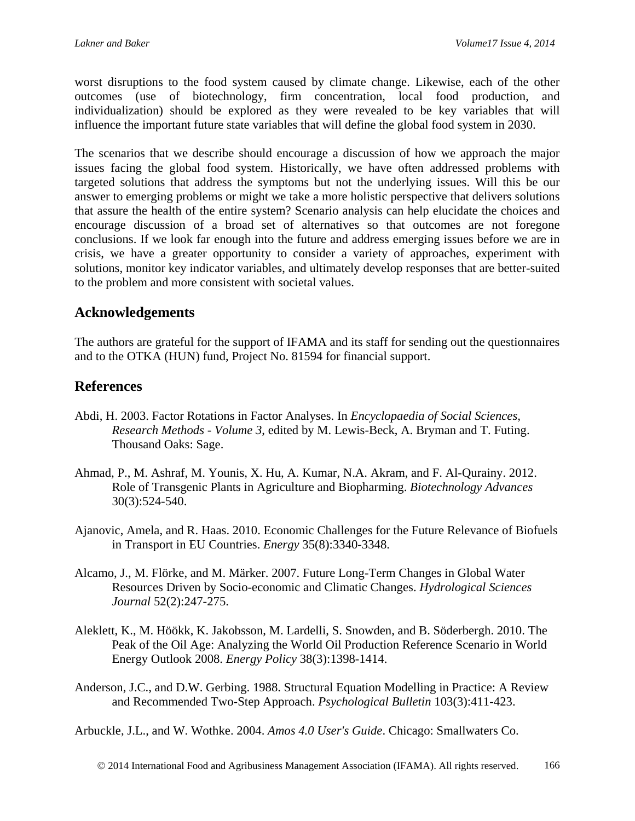worst disruptions to the food system caused by climate change. Likewise, each of the other outcomes (use of biotechnology, firm concentration, local food production, and individualization) should be explored as they were revealed to be key variables that will influence the important future state variables that will define the global food system in 2030.

The scenarios that we describe should encourage a discussion of how we approach the major issues facing the global food system. Historically, we have often addressed problems with targeted solutions that address the symptoms but not the underlying issues. Will this be our answer to emerging problems or might we take a more holistic perspective that delivers solutions that assure the health of the entire system? Scenario analysis can help elucidate the choices and encourage discussion of a broad set of alternatives so that outcomes are not foregone conclusions. If we look far enough into the future and address emerging issues before we are in crisis, we have a greater opportunity to consider a variety of approaches, experiment with solutions, monitor key indicator variables, and ultimately develop responses that are better-suited to the problem and more consistent with societal values.

### **Acknowledgements**

The authors are grateful for the support of IFAMA and its staff for sending out the questionnaires and to the OTKA (HUN) fund, Project No. 81594 for financial support.

### **References**

- Abdi, H. 2003. Factor Rotations in Factor Analyses. In *Encyclopaedia of Social Sciences, Research Methods - Volume 3*, edited by M. Lewis-Beck, A. Bryman and T. Futing. Thousand Oaks: Sage.
- Ahmad, P., M. Ashraf, M. Younis, X. Hu, A. Kumar, N.A. Akram, and F. Al-Qurainy. 2012. Role of Transgenic Plants in Agriculture and Biopharming. *Biotechnology Advances* 30(3):524-540.
- Ajanovic, Amela, and R. Haas. 2010. Economic Challenges for the Future Relevance of Biofuels in Transport in EU Countries. *Energy* 35(8):3340-3348.
- Alcamo, J., M. Flörke, and M. Märker. 2007. Future Long-Term Changes in Global Water Resources Driven by Socio-economic and Climatic Changes. *Hydrological Sciences Journal* 52(2):247-275.
- Aleklett, K., M. Höökk, K. Jakobsson, M. Lardelli, S. Snowden, and B. Söderbergh. 2010. The Peak of the Oil Age: Analyzing the World Oil Production Reference Scenario in World Energy Outlook 2008. *Energy Policy* 38(3):1398-1414.
- Anderson, J.C., and D.W. Gerbing. 1988. Structural Equation Modelling in Practice: A Review and Recommended Two-Step Approach. *Psychological Bulletin* 103(3):411-423.

Arbuckle, J.L., and W. Wothke. 2004. *Amos 4.0 User's Guide*. Chicago: Smallwaters Co.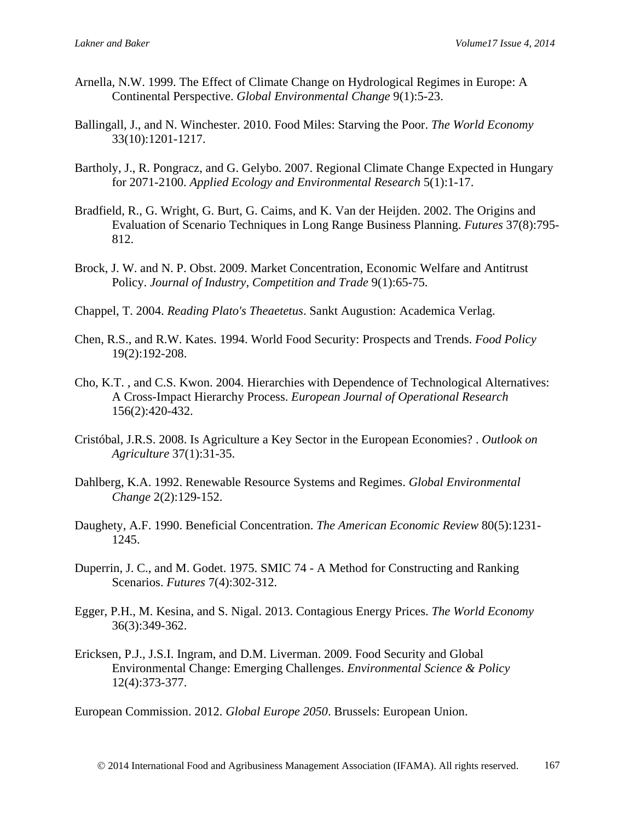- Arnella, N.W. 1999. The Effect of Climate Change on Hydrological Regimes in Europe: A Continental Perspective. *Global Environmental Change* 9(1):5-23.
- Ballingall, J., and N. Winchester. 2010. Food Miles: Starving the Poor. *The World Economy* 33(10):1201-1217.
- Bartholy, J., R. Pongracz, and G. Gelybo. 2007. Regional Climate Change Expected in Hungary for 2071-2100. *Applied Ecology and Environmental Research* 5(1):1-17.
- Bradfield, R., G. Wright, G. Burt, G. Caims, and K. Van der Heijden. 2002. The Origins and Evaluation of Scenario Techniques in Long Range Business Planning. *Futures* 37(8):795- 812.
- Brock, J. W. and N. P. Obst. 2009. Market Concentration, Economic Welfare and Antitrust Policy. *Journal of Industry, Competition and Trade* 9(1):65-75.
- Chappel, T. 2004. *Reading Plato's Theaetetus*. Sankt Augustion: Academica Verlag.
- Chen, R.S., and R.W. Kates. 1994. World Food Security: Prospects and Trends. *Food Policy* 19(2):192-208.
- Cho, K.T. , and C.S. Kwon. 2004. Hierarchies with Dependence of Technological Alternatives: A Cross-Impact Hierarchy Process. *European Journal of Operational Research* 156(2):420-432.
- Cristóbal, J.R.S. 2008. Is Agriculture a Key Sector in the European Economies? . *Outlook on Agriculture* 37(1):31-35.
- Dahlberg, K.A. 1992. Renewable Resource Systems and Regimes. *Global Environmental Change* 2(2):129-152.
- Daughety, A.F. 1990. Beneficial Concentration. *The American Economic Review* 80(5):1231- 1245.
- Duperrin, J. C., and M. Godet. 1975. SMIC 74 A Method for Constructing and Ranking Scenarios. *Futures* 7(4):302-312.
- Egger, P.H., M. Kesina, and S. Nigal. 2013. Contagious Energy Prices. *The World Economy* 36(3):349-362.
- Ericksen, P.J., J.S.I. Ingram, and D.M. Liverman. 2009. Food Security and Global Environmental Change: Emerging Challenges. *Environmental Science & Policy* 12(4):373-377.

European Commission. 2012. *Global Europe 2050*. Brussels: European Union.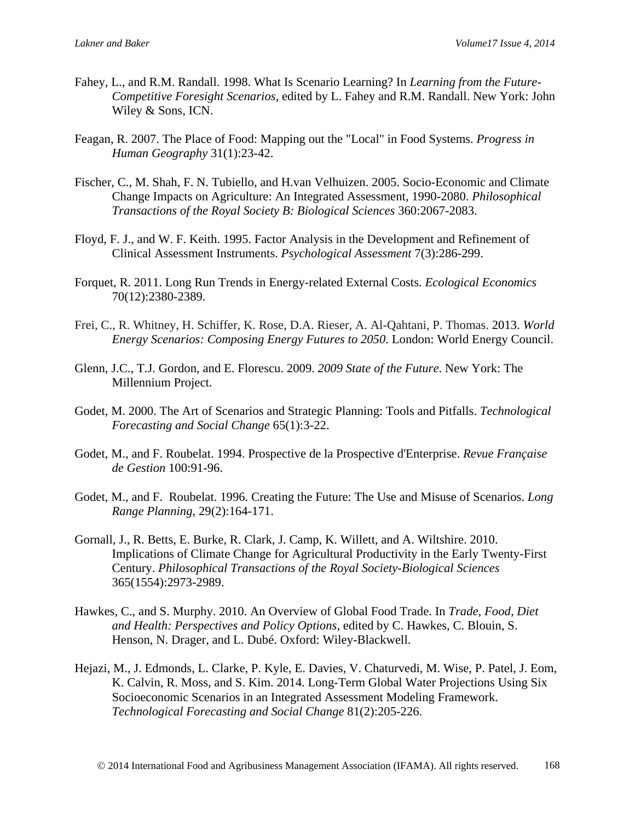- Fahey, L., and R.M. Randall. 1998. What Is Scenario Learning? In *Learning from the Future-Competitive Foresight Scenarios*, edited by L. Fahey and R.M. Randall. New York: John Wiley & Sons, ICN.
- Feagan, R. 2007. The Place of Food: Mapping out the "Local" in Food Systems. *Progress in Human Geography* 31(1):23-42.
- Fischer, C., M. Shah, F. N. Tubiello, and H.van Velhuizen. 2005. Socio-Economic and Climate Change Impacts on Agriculture: An Integrated Assessment, 1990-2080. *Philosophical Transactions of the Royal Society B: Biological Sciences* 360:2067-2083.
- Floyd, F. J., and W. F. Keith. 1995. Factor Analysis in the Development and Refinement of Clinical Assessment Instruments. *Psychological Assessment* 7(3):286-299.
- Forquet, R. 2011. Long Run Trends in Energy-related External Costs. *Ecological Economics* 70(12):2380-2389.
- Frei, C., R. Whitney, H. Schiffer, K. Rose, D.A. Rieser, A. Al-Qahtani, P. Thomas. 2013. *World Energy Scenarios: Composing Energy Futures to 2050*. London: World Energy Council.
- Glenn, J.C., T.J. Gordon, and E. Florescu. 2009. *2009 State of the Future*. New York: The Millennium Project.
- Godet, M. 2000. The Art of Scenarios and Strategic Planning: Tools and Pitfalls. *Technological Forecasting and Social Change* 65(1):3-22.
- Godet, M., and F. Roubelat. 1994. Prospective de la Prospective d'Enterprise. *Revue Française de Gestion* 100:91-96.
- Godet, M., and F. Roubelat. 1996. Creating the Future: The Use and Misuse of Scenarios. *Long Range Planning,* 29(2):164-171.
- Gornall, J., R. Betts, E. Burke, R. Clark, J. Camp, K. Willett, and A. Wiltshire. 2010. Implications of Climate Change for Agricultural Productivity in the Early Twenty-First Century. *Philosophical Transactions of the Royal Society-Biological Sciences* 365(1554):2973-2989.
- Hawkes, C., and S. Murphy. 2010. An Overview of Global Food Trade. In *Trade, Food, Diet and Health: Perspectives and Policy Options*, edited by C. Hawkes, C. Blouin, S. Henson, N. Drager, and L. Dubé. Oxford: Wiley-Blackwell.
- Hejazi, M., J. Edmonds, L. Clarke, P. Kyle, E. Davies, V. Chaturvedi, M. Wise, P. Patel, J. Eom, K. Calvin, R. Moss, and S. Kim. 2014. Long-Term Global Water Projections Using Six Socioeconomic Scenarios in an Integrated Assessment Modeling Framework. *Technological Forecasting and Social Change* 81(2):205-226.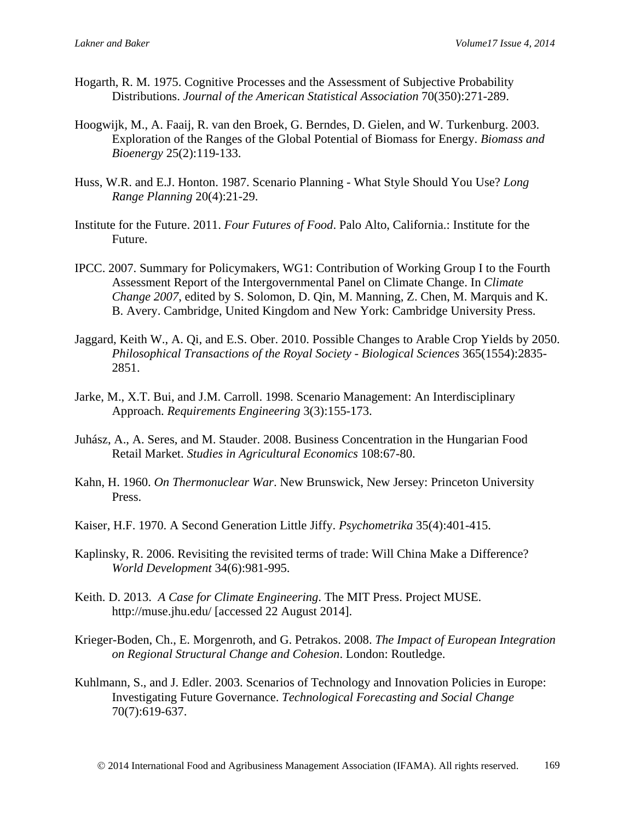- Hogarth, R. M. 1975. Cognitive Processes and the Assessment of Subjective Probability Distributions. *Journal of the American Statistical Association* 70(350):271-289.
- Hoogwijk, M., A. Faaij, R. van den Broek, G. Berndes, D. Gielen, and W. Turkenburg. 2003. Exploration of the Ranges of the Global Potential of Biomass for Energy. *Biomass and Bioenergy* 25(2):119-133.
- Huss, W.R. and E.J. Honton. 1987. Scenario Planning What Style Should You Use? *Long Range Planning* 20(4):21-29.
- Institute for the Future. 2011. *Four Futures of Food*. Palo Alto, California.: Institute for the Future.
- IPCC. 2007. Summary for Policymakers, WG1: Contribution of Working Group I to the Fourth Assessment Report of the Intergovernmental Panel on Climate Change. In *Climate Change 2007*, edited by S. Solomon, D. Qin, M. Manning, Z. Chen, M. Marquis and K. B. Avery. Cambridge, United Kingdom and New York: Cambridge University Press.
- Jaggard, Keith W., A. Qi, and E.S. Ober. 2010. Possible Changes to Arable Crop Yields by 2050. *Philosophical Transactions of the Royal Society - Biological Sciences* 365(1554):2835- 2851.
- Jarke, M., X.T. Bui, and J.M. Carroll. 1998. Scenario Management: An Interdisciplinary Approach. *Requirements Engineering* 3(3):155-173.
- Juhász, A., A. Seres, and M. Stauder. 2008. Business Concentration in the Hungarian Food Retail Market. *Studies in Agricultural Economics* 108:67-80.
- Kahn, H. 1960. *On Thermonuclear War*. New Brunswick, New Jersey: Princeton University Press.
- Kaiser, H.F. 1970. A Second Generation Little Jiffy. *Psychometrika* 35(4):401-415.
- Kaplinsky, R. 2006. Revisiting the revisited terms of trade: Will China Make a Difference? *World Development* 34(6):981-995.
- Keith. D. 2013. *A Case for Climate Engineering*. The MIT Press. Project MUSE. http://muse.jhu.edu/ [accessed 22 August 2014].
- Krieger-Boden, Ch., E. Morgenroth, and G. Petrakos. 2008. *The Impact of European Integration on Regional Structural Change and Cohesion*. London: Routledge.
- Kuhlmann, S., and J. Edler. 2003. Scenarios of Technology and Innovation Policies in Europe: Investigating Future Governance. *Technological Forecasting and Social Change* 70(7):619-637.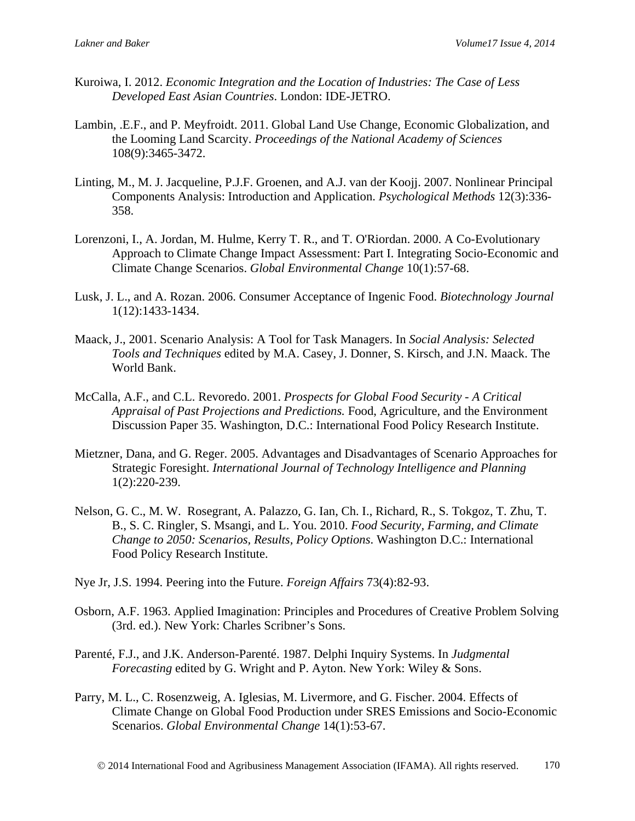- Kuroiwa, I. 2012. *Economic Integration and the Location of Industries: The Case of Less Developed East Asian Countries*. London: IDE-JETRO.
- Lambin, .E.F., and P. Meyfroidt. 2011. Global Land Use Change, Economic Globalization, and the Looming Land Scarcity. *Proceedings of the National Academy of Sciences* 108(9):3465-3472.
- Linting, M., M. J. Jacqueline, P.J.F. Groenen, and A.J. van der Koojj. 2007. Nonlinear Principal Components Analysis: Introduction and Application. *Psychological Methods* 12(3):336- 358.
- Lorenzoni, I., A. Jordan, M. Hulme, Kerry T. R., and T. O'Riordan. 2000. A Co-Evolutionary Approach to Climate Change Impact Assessment: Part I. Integrating Socio-Economic and Climate Change Scenarios. *Global Environmental Change* 10(1):57-68.
- Lusk, J. L., and A. Rozan. 2006. Consumer Acceptance of Ingenic Food. *Biotechnology Journal* 1(12):1433-1434.
- Maack, J., 2001. Scenario Analysis: A Tool for Task Managers. In *Social Analysis: Selected Tools and Techniques* edited by M.A. Casey, J. Donner, S. Kirsch, and J.N. Maack. The World Bank.
- McCalla, A.F., and C.L. Revoredo. 2001. *Prospects for Global Food Security - A Critical Appraisal of Past Projections and Predictions.* Food, Agriculture, and the Environment Discussion Paper 35. Washington, D.C.: International Food Policy Research Institute.
- Mietzner, Dana, and G. Reger. 2005. Advantages and Disadvantages of Scenario Approaches for Strategic Foresight. *International Journal of Technology Intelligence and Planning* 1(2):220-239.
- Nelson, G. C., M. W. Rosegrant, A. Palazzo, G. Ian, Ch. I., Richard, R., S. Tokgoz, T. Zhu, T. B., S. C. Ringler, S. Msangi, and L. You. 2010. *Food Security, Farming, and Climate Change to 2050: Scenarios, Results, Policy Options*. Washington D.C.: International Food Policy Research Institute.
- Nye Jr, J.S. 1994. Peering into the Future. *Foreign Affairs* 73(4):82-93.
- Osborn, A.F. 1963. Applied Imagination: Principles and Procedures of Creative Problem Solving (3rd. ed.). New York: Charles Scribner's Sons.
- Parenté, F.J., and J.K. Anderson-Parenté. 1987. Delphi Inquiry Systems. In *Judgmental Forecasting* edited by G. Wright and P. Ayton. New York: Wiley & Sons.
- Parry, M. L., C. Rosenzweig, A. Iglesias, M. Livermore, and G. Fischer. 2004. Effects of Climate Change on Global Food Production under SRES Emissions and Socio-Economic Scenarios. *Global Environmental Change* 14(1):53-67.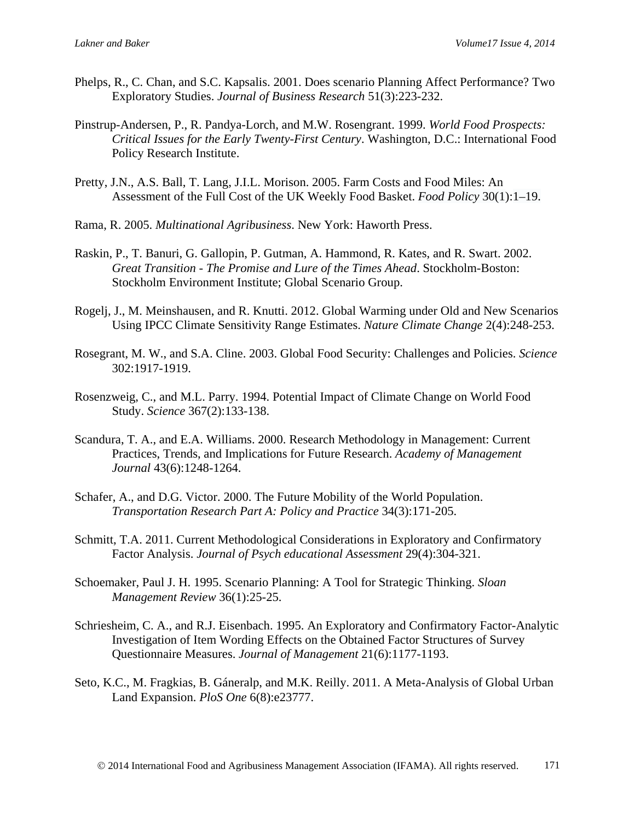- Phelps, R., C. Chan, and S.C. Kapsalis. 2001. Does scenario Planning Affect Performance? Two Exploratory Studies. *Journal of Business Research* 51(3):223-232.
- Pinstrup-Andersen, P., R. Pandya-Lorch, and M.W. Rosengrant. 1999. *World Food Prospects: Critical Issues for the Early Twenty-First Century*. Washington, D.C.: International Food Policy Research Institute.
- Pretty, J.N., A.S. Ball, T. Lang, J.I.L. Morison. 2005. Farm Costs and Food Miles: An Assessment of the Full Cost of the UK Weekly Food Basket. *Food Policy* 30(1):1–19.
- Rama, R. 2005. *Multinational Agribusiness*. New York: Haworth Press.
- Raskin, P., T. Banuri, G. Gallopin, P. Gutman, A. Hammond, R. Kates, and R. Swart. 2002. *Great Transition - The Promise and Lure of the Times Ahead*. Stockholm-Boston: Stockholm Environment Institute; Global Scenario Group.
- Rogelj, J., M. Meinshausen, and R. Knutti. 2012. Global Warming under Old and New Scenarios Using IPCC Climate Sensitivity Range Estimates. *Nature Climate Change* 2(4):248-253.
- Rosegrant, M. W., and S.A. Cline. 2003. Global Food Security: Challenges and Policies. *Science* 302:1917-1919.
- Rosenzweig, C., and M.L. Parry. 1994. Potential Impact of Climate Change on World Food Study. *Science* 367(2):133-138.
- Scandura, T. A., and E.A. Williams. 2000. Research Methodology in Management: Current Practices, Trends, and Implications for Future Research. *Academy of Management Journal* 43(6):1248-1264.
- Schafer, A., and D.G. Victor. 2000. The Future Mobility of the World Population. *Transportation Research Part A: Policy and Practice* 34(3):171-205.
- Schmitt, T.A. 2011. Current Methodological Considerations in Exploratory and Confirmatory Factor Analysis. *Journal of Psych educational Assessment* 29(4):304-321.
- Schoemaker, Paul J. H. 1995. Scenario Planning: A Tool for Strategic Thinking. *Sloan Management Review* 36(1):25-25.
- Schriesheim, C. A., and R.J. Eisenbach. 1995. An Exploratory and Confirmatory Factor-Analytic Investigation of Item Wording Effects on the Obtained Factor Structures of Survey Questionnaire Measures. *Journal of Management* 21(6):1177-1193.
- Seto, K.C., M. Fragkias, B. Gáneralp, and M.K. Reilly. 2011. A Meta-Analysis of Global Urban Land Expansion. *PloS One* 6(8):e23777.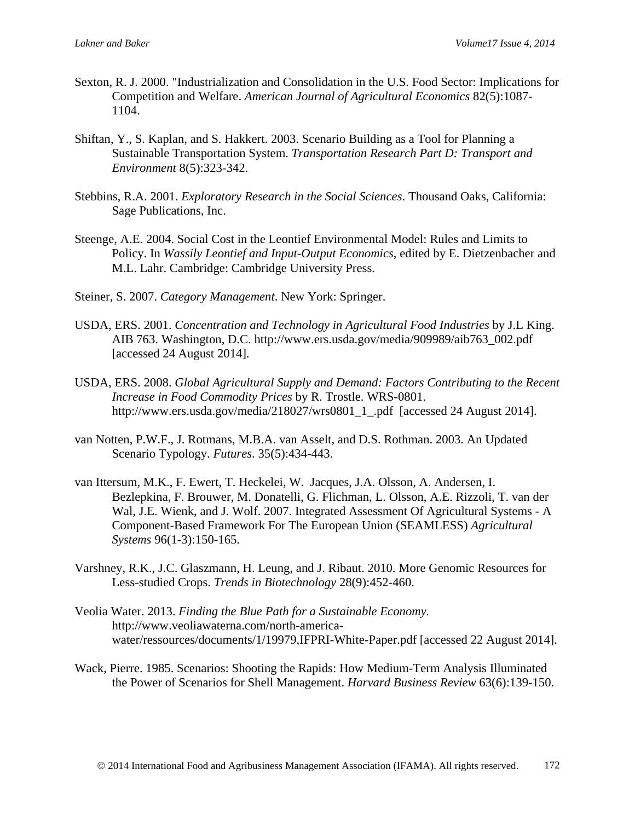- Sexton, R. J. 2000. "Industrialization and Consolidation in the U.S. Food Sector: Implications for Competition and Welfare. *American Journal of Agricultural Economics* 82(5):1087- 1104.
- Shiftan, Y., S. Kaplan, and S. Hakkert. 2003. Scenario Building as a Tool for Planning a Sustainable Transportation System. *Transportation Research Part D: Transport and Environment* 8(5):323-342.
- Stebbins, R.A. 2001. *Exploratory Research in the Social Sciences*. Thousand Oaks, California: Sage Publications, Inc.
- Steenge, A.E. 2004. Social Cost in the Leontief Environmental Model: Rules and Limits to Policy. In *Wassily Leontief and Input-Output Economics*, edited by E. Dietzenbacher and M.L. Lahr. Cambridge: Cambridge University Press.
- Steiner, S. 2007. *Category Management*. New York: Springer.
- USDA, ERS. 2001. *Concentration and Technology in Agricultural Food Industries* by J.L King. AIB 763. Washington, D.C. http://www.ers.usda.gov/media/909989/aib763\_002.pdf [accessed 24 August 2014].
- USDA, ERS. 2008. *Global Agricultural Supply and Demand: Factors Contributing to the Recent Increase in Food Commodity Prices* by R. Trostle. WRS-0801. http://www.ers.usda.gov/media/218027/wrs0801\_1\_.pdf [accessed 24 August 2014].
- van Notten, P.W.F., J. Rotmans, M.B.A. van Asselt, and D.S. Rothman. 2003. An Updated Scenario Typology. *Futures*. 35(5):434-443.
- van Ittersum, M.K., F. Ewert, T. Heckelei, W. Jacques, J.A. Olsson, A. Andersen, I. Bezlepkina, F. Brouwer, M. Donatelli, G. Flichman, L. Olsson, A.E. Rizzoli, T. van der Wal, J.E. Wienk, and J. Wolf. 2007. Integrated Assessment Of Agricultural Systems - A Component-Based Framework For The European Union (SEAMLESS) *Agricultural Systems* 96(1-3):150-165.
- Varshney, R.K., J.C. Glaszmann, H. Leung, and J. Ribaut. 2010. More Genomic Resources for Less-studied Crops. *Trends in Biotechnology* 28(9):452-460.
- Veolia Water. 2013. *Finding the Blue Path for a Sustainable Economy.*  http://www.veoliawaterna.com/north-americawater/ressources/documents/1/19979,IFPRI-White-Paper.pdf [accessed 22 August 2014].
- Wack, Pierre. 1985. Scenarios: Shooting the Rapids: How Medium-Term Analysis Illuminated the Power of Scenarios for Shell Management. *Harvard Business Review* 63(6):139-150.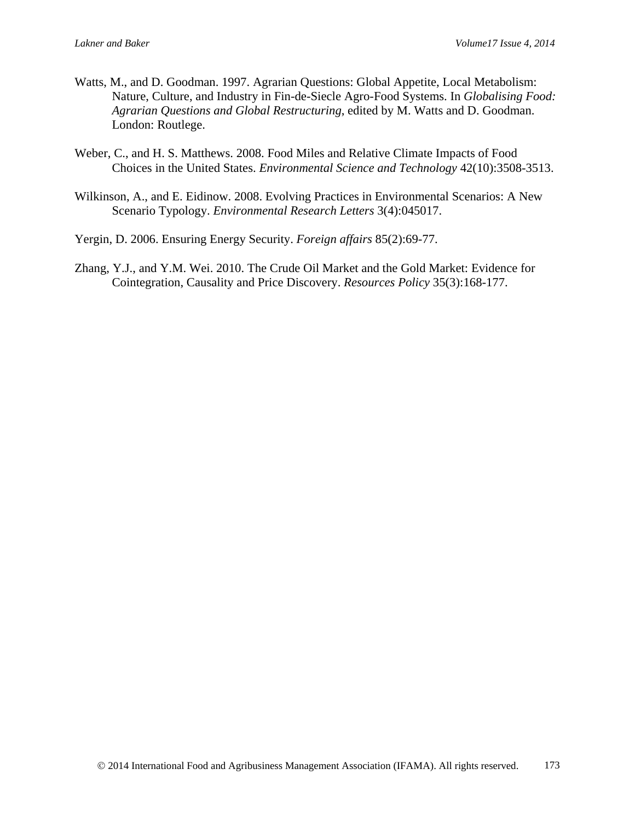- Watts, M., and D. Goodman. 1997. Agrarian Questions: Global Appetite, Local Metabolism: Nature, Culture, and Industry in Fin-de-Siecle Agro-Food Systems. In *Globalising Food: Agrarian Questions and Global Restructuring*, edited by M. Watts and D. Goodman. London: Routlege.
- Weber, C., and H. S. Matthews. 2008. Food Miles and Relative Climate Impacts of Food Choices in the United States. *Environmental Science and Technology* 42(10):3508-3513.
- Wilkinson, A., and E. Eidinow. 2008. Evolving Practices in Environmental Scenarios: A New Scenario Typology. *Environmental Research Letters* 3(4):045017.
- Yergin, D. 2006. Ensuring Energy Security. *Foreign affairs* 85(2):69-77.
- Zhang, Y.J., and Y.M. Wei. 2010. The Crude Oil Market and the Gold Market: Evidence for Cointegration, Causality and Price Discovery. *Resources Policy* 35(3):168-177.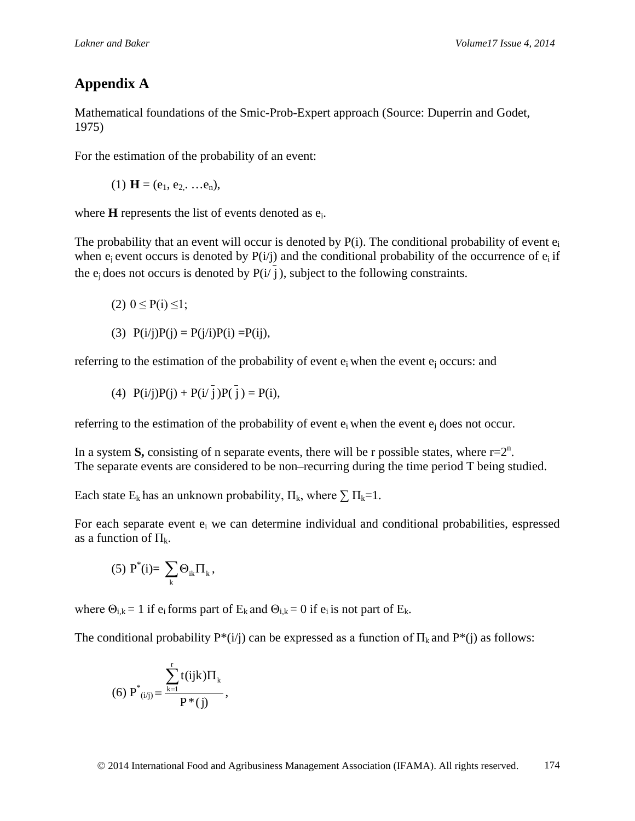# **Appendix A**

Mathematical foundations of the Smic-Prob-Expert approach (Source: Duperrin and Godet, 1975)

For the estimation of the probability of an event:

(1)  $\mathbf{H} = (e_1, e_2, \dots, e_n),$ 

where **H** represents the list of events denoted as  $e_i$ .

The probability that an event will occur is denoted by  $P(i)$ . The conditional probability of event  $e_i$ when  $e_i$  event occurs is denoted by  $P(i/j)$  and the conditional probability of the occurrence of  $e_i$  if the  $e_i$  does not occurs is denoted by  $P(i|\vec{j})$ , subject to the following constraints.

$$
(2) 0 \leq P(i) \leq 1;
$$

(3) 
$$
P(i/j)P(j) = P(j/i)P(i) = P(ij),
$$

referring to the estimation of the probability of event  $e_i$  when the event  $e_i$  occurs: and

(4) 
$$
P(i/j)P(j) + P(i/\overline{j})P(\overline{j}) = P(i),
$$

referring to the estimation of the probability of event  $e_i$  when the event  $e_i$  does not occur.

In a system S, consisting of n separate events, there will be r possible states, where  $r=2^n$ . The separate events are considered to be non–recurring during the time period T being studied.

Each state  $E_k$  has an unknown probability,  $\Pi_k$ , where  $\sum \Pi_k = 1$ .

For each separate event  $e_i$  we can determine individual and conditional probabilities, espressed as a function of  $\Pi_k$ .

(5) 
$$
P^*(i) = \sum_k \Theta_{ik} \Pi_k,
$$

where  $\Theta_{i,k} = 1$  if  $e_i$  forms part of  $E_k$  and  $\Theta_{i,k} = 0$  if  $e_i$  is not part of  $E_k$ .

The conditional probability  $P^*(i)$  can be expressed as a function of  $\Pi_k$  and  $P^*(i)$  as follows:

(6) 
$$
P^*_{(i/j)} = \frac{\sum_{k=1}^r t(ijk)\Pi_k}{P^*(j)},
$$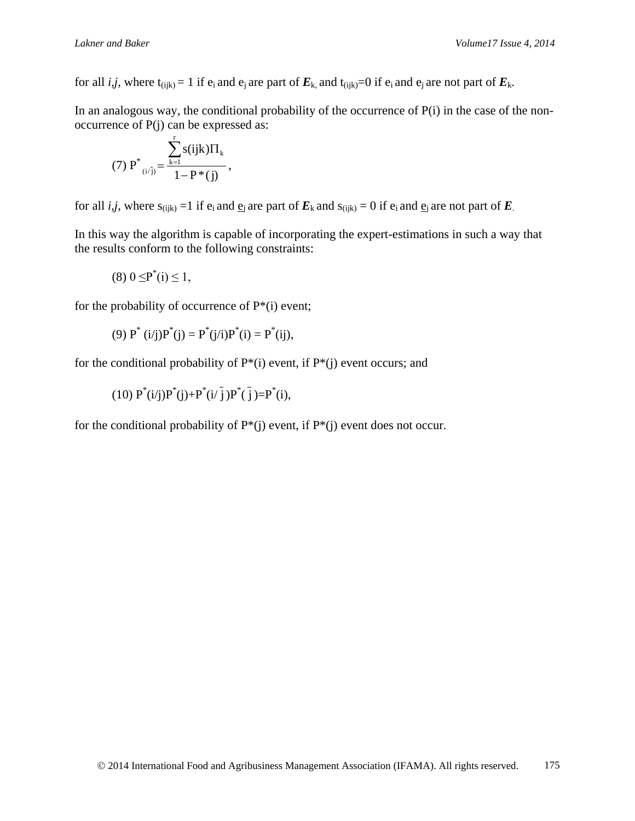for all *i,j*, where  $t_{(ijk)} = 1$  if  $e_i$  and  $e_j$  are part of  $E_k$ , and  $t_{(ijk)} = 0$  if  $e_i$  and  $e_j$  are not part of  $E_k$ .

In an analogous way, the conditional probability of the occurrence of P(i) in the case of the nonoccurrence of P(j) can be expressed as:

(7) 
$$
P^*
$$
  $\sum_{(i/\overline{j})}^{r} = \frac{\sum_{k=1}^{r} s(ijk) \Pi_k}{1 - P^*(j)},$ 

for all *i,j*, where  $s_{(ijk)} = 1$  if  $e_i$  and  $\underline{e}_i$  are part of  $E_k$  and  $s_{(ijk)} = 0$  if  $e_i$  and  $\underline{e}_i$  are not part of  $E_k$ .

In this way the algorithm is capable of incorporating the expert-estimations in such a way that the results conform to the following constraints:

$$
(8) 0 \leq P^*(i) \leq 1,
$$

for the probability of occurrence of  $P^*(i)$  event;

(9) 
$$
P^*(i/j)P^*(j) = P^*(j/i)P^*(i) = P^*(ij),
$$

for the conditional probability of  $P^*(i)$  event, if  $P^*(i)$  event occurs; and

 $(10) P^*(i/j)P^*(j)+P^*(i/\overline{j})P^*(\overline{j})=P^*(i),$ 

for the conditional probability of  $P^*(j)$  event, if  $P^*(j)$  event does not occur.